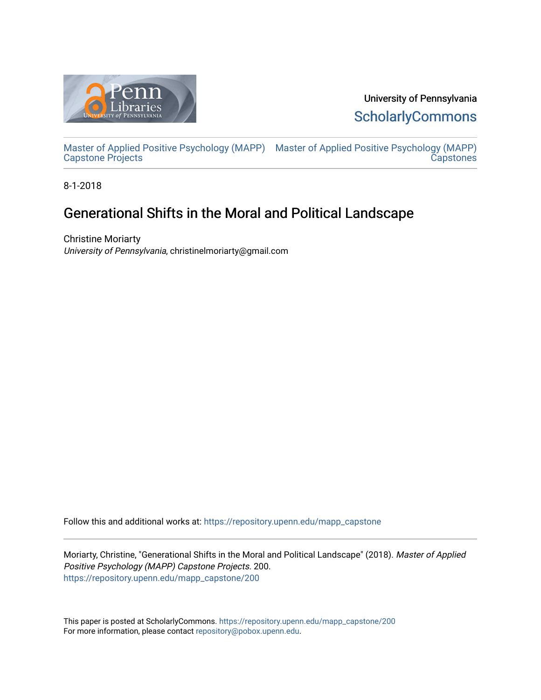

University of Pennsylvania **ScholarlyCommons** 

[Master of Applied Positive Psychology \(MAPP\)](https://repository.upenn.edu/mapp_capstone) [Master of Applied Positive Psychology \(MAPP\)](https://repository.upenn.edu/mapp_capstones)  Capstone Projects **Capstones** 

8-1-2018

# Generational Shifts in the Moral and Political Landscape

Christine Moriarty University of Pennsylvania, christinelmoriarty@gmail.com

Follow this and additional works at: [https://repository.upenn.edu/mapp\\_capstone](https://repository.upenn.edu/mapp_capstone?utm_source=repository.upenn.edu%2Fmapp_capstone%2F200&utm_medium=PDF&utm_campaign=PDFCoverPages) 

Moriarty, Christine, "Generational Shifts in the Moral and Political Landscape" (2018). Master of Applied Positive Psychology (MAPP) Capstone Projects. 200. [https://repository.upenn.edu/mapp\\_capstone/200](https://repository.upenn.edu/mapp_capstone/200?utm_source=repository.upenn.edu%2Fmapp_capstone%2F200&utm_medium=PDF&utm_campaign=PDFCoverPages) 

This paper is posted at ScholarlyCommons. [https://repository.upenn.edu/mapp\\_capstone/200](https://repository.upenn.edu/mapp_capstone/200)  For more information, please contact [repository@pobox.upenn.edu.](mailto:repository@pobox.upenn.edu)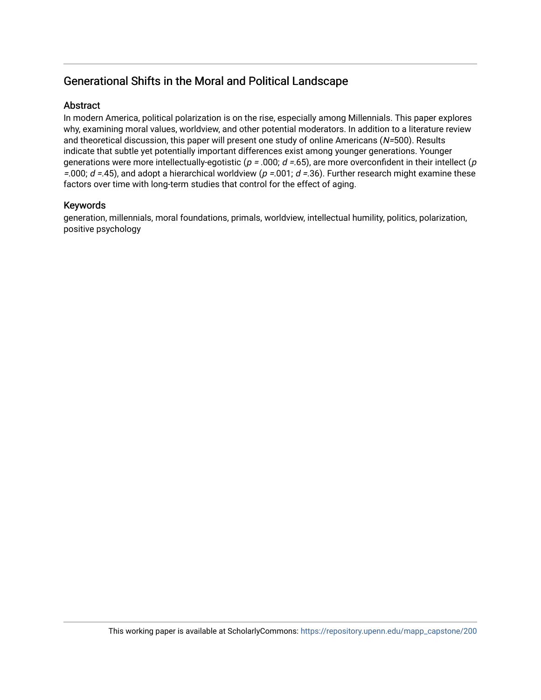# Generational Shifts in the Moral and Political Landscape

### Abstract

In modern America, political polarization is on the rise, especially among Millennials. This paper explores why, examining moral values, worldview, and other potential moderators. In addition to a literature review and theoretical discussion, this paper will present one study of online Americans  $(N=500)$ . Results indicate that subtle yet potentially important differences exist among younger generations. Younger generations were more intellectually-egotistic ( $p = .000$ ;  $d = .65$ ), are more overconfident in their intellect ( $p$ =.000;  $d = 45$ ), and adopt a hierarchical worldview ( $p = 0.001$ ;  $d = 36$ ). Further research might examine these factors over time with long-term studies that control for the effect of aging.

### Keywords

generation, millennials, moral foundations, primals, worldview, intellectual humility, politics, polarization, positive psychology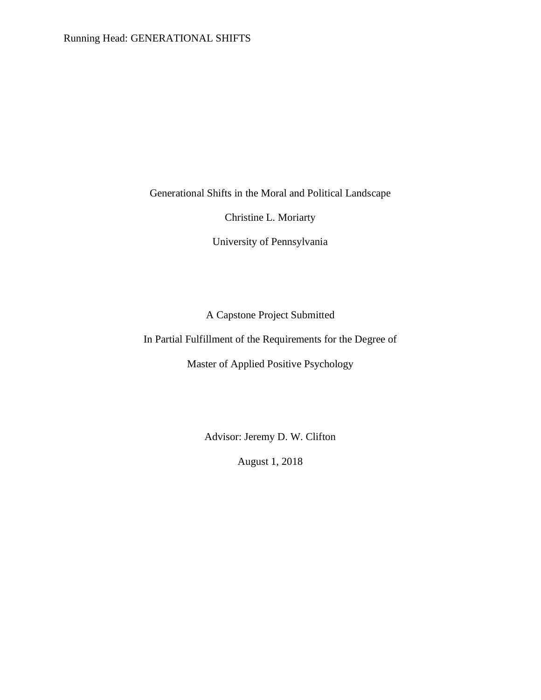Generational Shifts in the Moral and Political Landscape

Christine L. Moriarty

University of Pennsylvania

A Capstone Project Submitted

In Partial Fulfillment of the Requirements for the Degree of

Master of Applied Positive Psychology

Advisor: Jeremy D. W. Clifton

August 1, 2018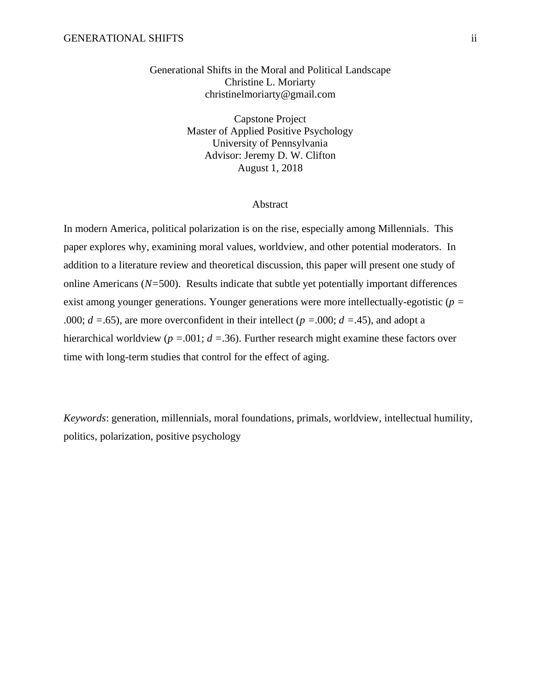Generational Shifts in the Moral and Political Landscape Christine L. Moriarty christinelmoriarty@gmail.com

> Capstone Project Master of Applied Positive Psychology University of Pennsylvania Advisor: Jeremy D. W. Clifton August 1, 2018

#### Abstract

In modern America, political polarization is on the rise, especially among Millennials. This paper explores why, examining moral values, worldview, and other potential moderators. In addition to a literature review and theoretical discussion, this paper will present one study of online Americans (*N=*500). Results indicate that subtle yet potentially important differences exist among younger generations. Younger generations were more intellectually-egotistic (*p =* .000; *d =*.65), are more overconfident in their intellect (*p =*.000; *d =*.45), and adopt a hierarchical worldview (*p =*.001; *d =*.36). Further research might examine these factors over time with long-term studies that control for the effect of aging.

*Keywords*: generation, millennials, moral foundations, primals, worldview, intellectual humility, politics, polarization, positive psychology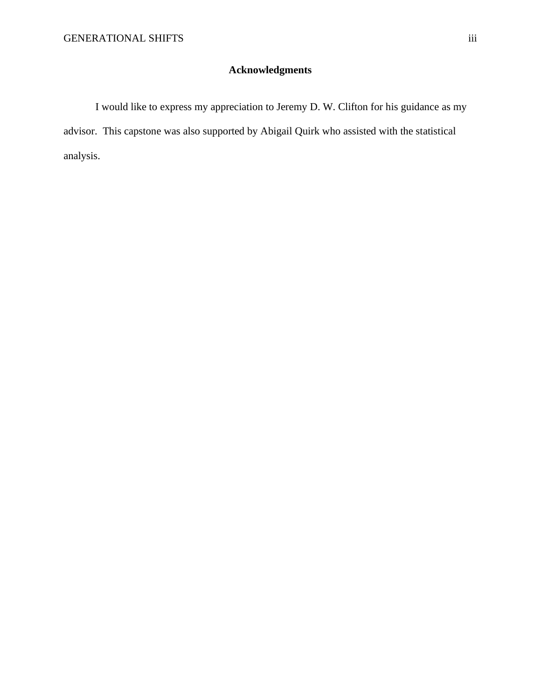## **Acknowledgments**

I would like to express my appreciation to Jeremy D. W. Clifton for his guidance as my advisor. This capstone was also supported by Abigail Quirk who assisted with the statistical analysis.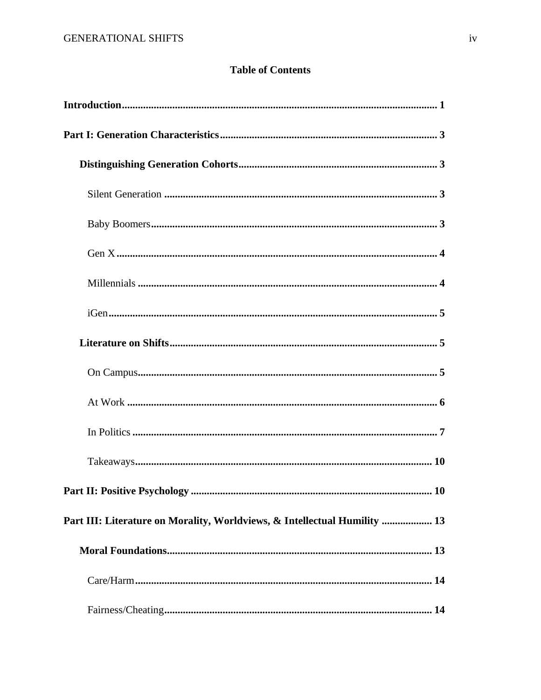## **Table of Contents**

| Part III: Literature on Morality, Worldviews, & Intellectual Humility  13 |
|---------------------------------------------------------------------------|
|                                                                           |
|                                                                           |
|                                                                           |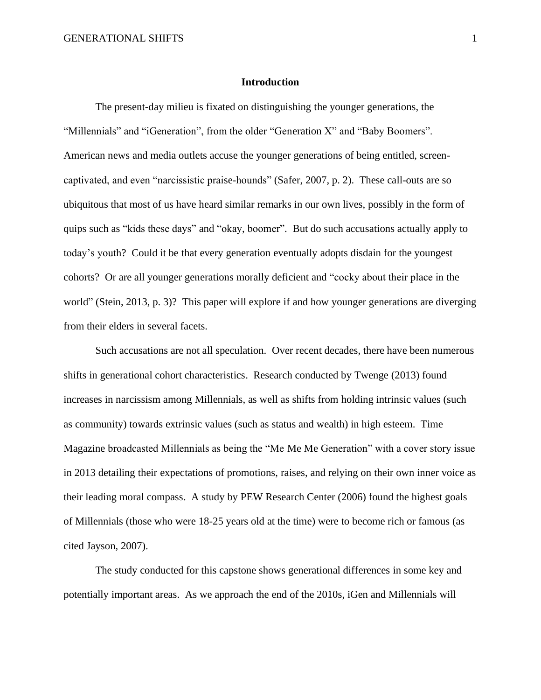#### **Introduction**

The present-day milieu is fixated on distinguishing the younger generations, the "Millennials" and "iGeneration", from the older "Generation X" and "Baby Boomers". American news and media outlets accuse the younger generations of being entitled, screencaptivated, and even "narcissistic praise-hounds" (Safer, 2007, p. 2). These call-outs are so ubiquitous that most of us have heard similar remarks in our own lives, possibly in the form of quips such as "kids these days" and "okay, boomer". But do such accusations actually apply to today's youth? Could it be that every generation eventually adopts disdain for the youngest cohorts? Or are all younger generations morally deficient and "cocky about their place in the world" (Stein, 2013, p. 3)? This paper will explore if and how younger generations are diverging from their elders in several facets.

Such accusations are not all speculation. Over recent decades, there have been numerous shifts in generational cohort characteristics. Research conducted by Twenge (2013) found increases in narcissism among Millennials, as well as shifts from holding intrinsic values (such as community) towards extrinsic values (such as status and wealth) in high esteem. Time Magazine broadcasted Millennials as being the "Me Me Me Generation" with a cover story issue in 2013 detailing their expectations of promotions, raises, and relying on their own inner voice as their leading moral compass. A study by PEW Research Center (2006) found the highest goals of Millennials (those who were 18-25 years old at the time) were to become rich or famous (as cited Jayson, 2007).

The study conducted for this capstone shows generational differences in some key and potentially important areas. As we approach the end of the 2010s, iGen and Millennials will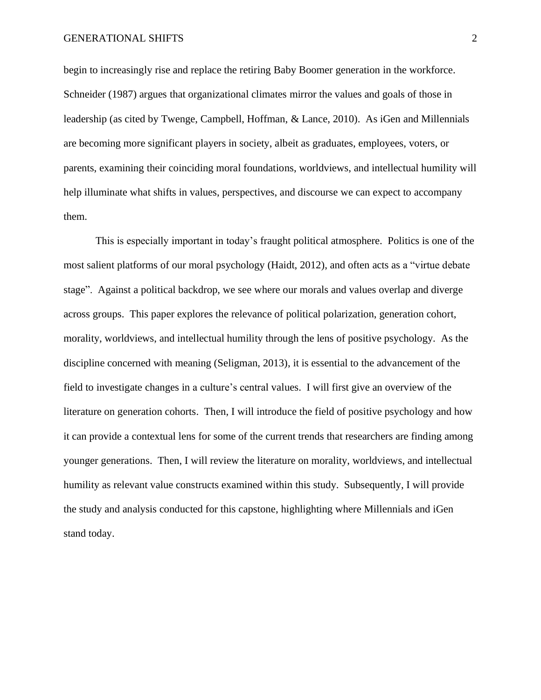#### GENERATIONAL SHIFTS 2

begin to increasingly rise and replace the retiring Baby Boomer generation in the workforce. Schneider (1987) argues that organizational climates mirror the values and goals of those in leadership (as cited by Twenge, Campbell, Hoffman, & Lance, 2010). As iGen and Millennials are becoming more significant players in society, albeit as graduates, employees, voters, or parents, examining their coinciding moral foundations, worldviews, and intellectual humility will help illuminate what shifts in values, perspectives, and discourse we can expect to accompany them.

This is especially important in today's fraught political atmosphere. Politics is one of the most salient platforms of our moral psychology (Haidt, 2012), and often acts as a "virtue debate stage". Against a political backdrop, we see where our morals and values overlap and diverge across groups. This paper explores the relevance of political polarization, generation cohort, morality, worldviews, and intellectual humility through the lens of positive psychology. As the discipline concerned with meaning (Seligman, 2013), it is essential to the advancement of the field to investigate changes in a culture's central values. I will first give an overview of the literature on generation cohorts. Then, I will introduce the field of positive psychology and how it can provide a contextual lens for some of the current trends that researchers are finding among younger generations. Then, I will review the literature on morality, worldviews, and intellectual humility as relevant value constructs examined within this study. Subsequently, I will provide the study and analysis conducted for this capstone, highlighting where Millennials and iGen stand today.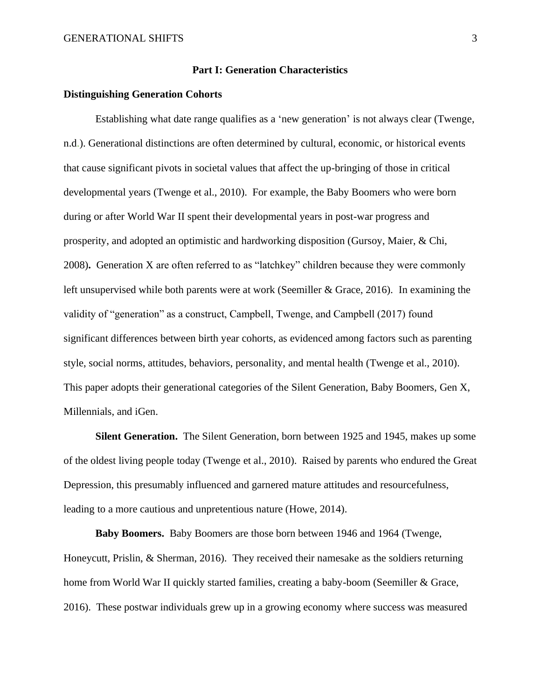#### **Part I: Generation Characteristics**

#### **Distinguishing Generation Cohorts**

Establishing what date range qualifies as a 'new generation' is not always clear (Twenge, n.d.). Generational distinctions are often determined by cultural, economic, or historical events that cause significant pivots in societal values that affect the up-bringing of those in critical developmental years (Twenge et al., 2010). For example, the Baby Boomers who were born during or after World War II spent their developmental years in post-war progress and prosperity, and adopted an optimistic and hardworking disposition (Gursoy, Maier, & Chi, 2008)**.** Generation X are often referred to as "latchkey" children because they were commonly left unsupervised while both parents were at work (Seemiller & Grace, 2016). In examining the validity of "generation" as a construct, Campbell, Twenge, and Campbell (2017) found significant differences between birth year cohorts, as evidenced among factors such as parenting style, social norms, attitudes, behaviors, personality, and mental health (Twenge et al., 2010). This paper adopts their generational categories of the Silent Generation, Baby Boomers, Gen X, Millennials, and iGen.

**Silent Generation.** The Silent Generation, born between 1925 and 1945, makes up some of the oldest living people today (Twenge et al., 2010). Raised by parents who endured the Great Depression, this presumably influenced and garnered mature attitudes and resourcefulness, leading to a more cautious and unpretentious nature (Howe, 2014).

**Baby Boomers.** Baby Boomers are those born between 1946 and 1964 (Twenge, Honeycutt, Prislin, & Sherman, 2016). They received their namesake as the soldiers returning home from World War II quickly started families, creating a baby-boom (Seemiller & Grace, 2016). These postwar individuals grew up in a growing economy where success was measured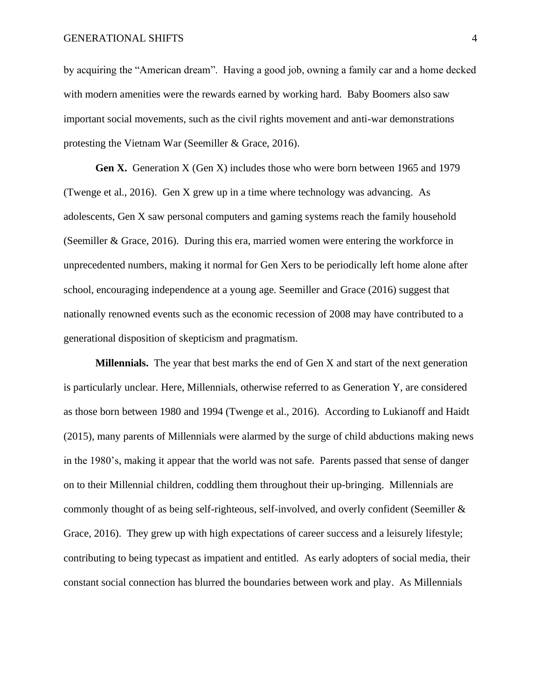by acquiring the "American dream". Having a good job, owning a family car and a home decked with modern amenities were the rewards earned by working hard. Baby Boomers also saw important social movements, such as the civil rights movement and anti-war demonstrations protesting the Vietnam War (Seemiller & Grace, 2016).

Gen X. Generation X (Gen X) includes those who were born between 1965 and 1979 (Twenge et al., 2016). Gen X grew up in a time where technology was advancing. As adolescents, Gen X saw personal computers and gaming systems reach the family household (Seemiller & Grace, 2016). During this era, married women were entering the workforce in unprecedented numbers, making it normal for Gen Xers to be periodically left home alone after school, encouraging independence at a young age. Seemiller and Grace (2016) suggest that nationally renowned events such as the economic recession of 2008 may have contributed to a generational disposition of skepticism and pragmatism.

**Millennials.** The year that best marks the end of Gen X and start of the next generation is particularly unclear. Here, Millennials, otherwise referred to as Generation Y, are considered as those born between 1980 and 1994 (Twenge et al., 2016). According to Lukianoff and Haidt (2015), many parents of Millennials were alarmed by the surge of child abductions making news in the 1980's, making it appear that the world was not safe. Parents passed that sense of danger on to their Millennial children, coddling them throughout their up-bringing. Millennials are commonly thought of as being self-righteous, self-involved, and overly confident (Seemiller & Grace, 2016). They grew up with high expectations of career success and a leisurely lifestyle; contributing to being typecast as impatient and entitled. As early adopters of social media, their constant social connection has blurred the boundaries between work and play. As Millennials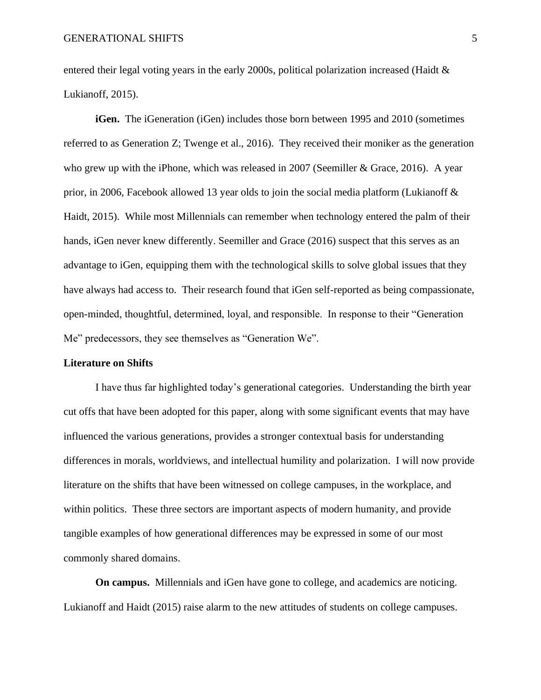entered their legal voting years in the early 2000s, political polarization increased (Haidt & Lukianoff, 2015).

**iGen.** The iGeneration (iGen) includes those born between 1995 and 2010 (sometimes referred to as Generation Z; Twenge et al., 2016). They received their moniker as the generation who grew up with the iPhone, which was released in 2007 (Seemiller & Grace, 2016). A year prior, in 2006, Facebook allowed 13 year olds to join the social media platform (Lukianoff & Haidt, 2015). While most Millennials can remember when technology entered the palm of their hands, iGen never knew differently. Seemiller and Grace (2016) suspect that this serves as an advantage to iGen, equipping them with the technological skills to solve global issues that they have always had access to. Their research found that iGen self-reported as being compassionate, open-minded, thoughtful, determined, loyal, and responsible. In response to their "Generation Me" predecessors, they see themselves as "Generation We".

#### **Literature on Shifts**

I have thus far highlighted today's generational categories. Understanding the birth year cut offs that have been adopted for this paper, along with some significant events that may have influenced the various generations, provides a stronger contextual basis for understanding differences in morals, worldviews, and intellectual humility and polarization. I will now provide literature on the shifts that have been witnessed on college campuses, in the workplace, and within politics. These three sectors are important aspects of modern humanity, and provide tangible examples of how generational differences may be expressed in some of our most commonly shared domains.

**On campus.** Millennials and iGen have gone to college, and academics are noticing. Lukianoff and Haidt (2015) raise alarm to the new attitudes of students on college campuses.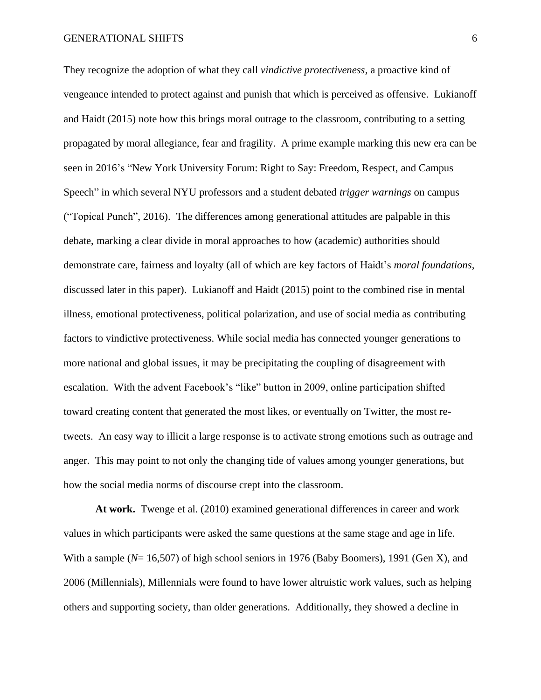#### GENERATIONAL SHIFTS 6

They recognize the adoption of what they call *vindictive protectiveness,* a proactive kind of vengeance intended to protect against and punish that which is perceived as offensive. Lukianoff and Haidt (2015) note how this brings moral outrage to the classroom, contributing to a setting propagated by moral allegiance, fear and fragility. A prime example marking this new era can be seen in 2016's "New York University Forum: Right to Say: Freedom, Respect, and Campus Speech" in which several NYU professors and a student debated *trigger warnings* on campus ("Topical Punch", 2016). The differences among generational attitudes are palpable in this debate, marking a clear divide in moral approaches to how (academic) authorities should demonstrate care, fairness and loyalty (all of which are key factors of Haidt's *moral foundations*, discussed later in this paper). Lukianoff and Haidt (2015) point to the combined rise in mental illness, emotional protectiveness, political polarization, and use of social media as contributing factors to vindictive protectiveness. While social media has connected younger generations to more national and global issues, it may be precipitating the coupling of disagreement with escalation. With the advent Facebook's "like" button in 2009, online participation shifted toward creating content that generated the most likes, or eventually on Twitter, the most retweets. An easy way to illicit a large response is to activate strong emotions such as outrage and anger. This may point to not only the changing tide of values among younger generations, but how the social media norms of discourse crept into the classroom.

**At work.** Twenge et al. (2010) examined generational differences in career and work values in which participants were asked the same questions at the same stage and age in life. With a sample ( $N=16,507$ ) of high school seniors in 1976 (Baby Boomers), 1991 (Gen X), and 2006 (Millennials), Millennials were found to have lower altruistic work values, such as helping others and supporting society, than older generations. Additionally, they showed a decline in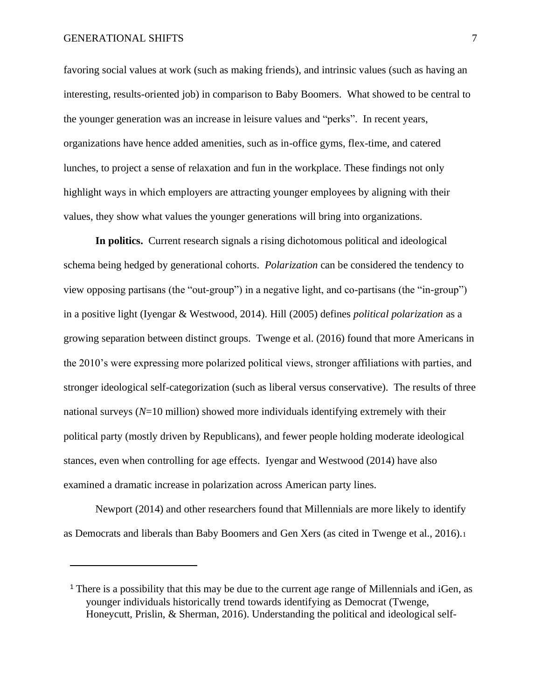#### GENERATIONAL SHIFTS 7 7

favoring social values at work (such as making friends), and intrinsic values (such as having an interesting, results-oriented job) in comparison to Baby Boomers. What showed to be central to the younger generation was an increase in leisure values and "perks". In recent years, organizations have hence added amenities, such as in-office gyms, flex-time, and catered lunches, to project a sense of relaxation and fun in the workplace. These findings not only highlight ways in which employers are attracting younger employees by aligning with their values, they show what values the younger generations will bring into organizations.

**In politics.** Current research signals a rising dichotomous political and ideological schema being hedged by generational cohorts. *Polarization* can be considered the tendency to view opposing partisans (the "out-group") in a negative light, and co-partisans (the "in-group") in a positive light (Iyengar & Westwood, 2014). Hill (2005) defines *political polarization* as a growing separation between distinct groups. Twenge et al. (2016) found that more Americans in the 2010's were expressing more polarized political views, stronger affiliations with parties, and stronger ideological self-categorization (such as liberal versus conservative). The results of three national surveys (*N*=10 million) showed more individuals identifying extremely with their political party (mostly driven by Republicans), and fewer people holding moderate ideological stances, even when controlling for age effects. Iyengar and Westwood (2014) have also examined a dramatic increase in polarization across American party lines.

Newport (2014) and other researchers found that Millennials are more likely to identify as Democrats and liberals than Baby Boomers and Gen Xers (as cited in Twenge et al., 2016).<sup>1</sup>

<sup>&</sup>lt;sup>1</sup> There is a possibility that this may be due to the current age range of Millennials and iGen, as younger individuals historically trend towards identifying as Democrat (Twenge, Honeycutt, Prislin, & Sherman, 2016). Understanding the political and ideological self-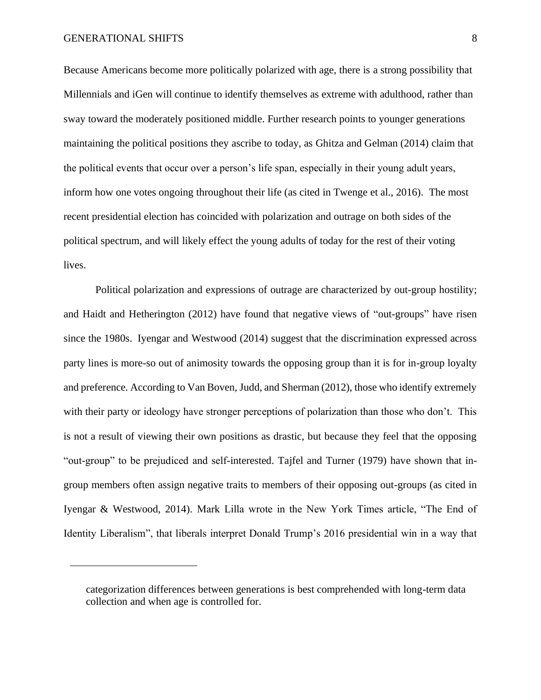#### GENERATIONAL SHIFTS 8

Because Americans become more politically polarized with age, there is a strong possibility that Millennials and iGen will continue to identify themselves as extreme with adulthood, rather than sway toward the moderately positioned middle. Further research points to younger generations maintaining the political positions they ascribe to today, as Ghitza and Gelman (2014) claim that the political events that occur over a person's life span, especially in their young adult years, inform how one votes ongoing throughout their life (as cited in Twenge et al., 2016). The most recent presidential election has coincided with polarization and outrage on both sides of the political spectrum, and will likely effect the young adults of today for the rest of their voting lives.

Political polarization and expressions of outrage are characterized by out-group hostility; and Haidt and Hetherington (2012) have found that negative views of "out-groups" have risen since the 1980s. Iyengar and Westwood (2014) suggest that the discrimination expressed across party lines is more-so out of animosity towards the opposing group than it is for in-group loyalty and preference. According to Van Boven, Judd, and Sherman (2012), those who identify extremely with their party or ideology have stronger perceptions of polarization than those who don't. This is not a result of viewing their own positions as drastic, but because they feel that the opposing "out-group" to be prejudiced and self-interested. Tajfel and Turner (1979) have shown that ingroup members often assign negative traits to members of their opposing out-groups (as cited in Iyengar & Westwood, 2014). Mark Lilla wrote in the New York Times article, "The End of Identity Liberalism", that liberals interpret Donald Trump's 2016 presidential win in a way that

categorization differences between generations is best comprehended with long-term data collection and when age is controlled for.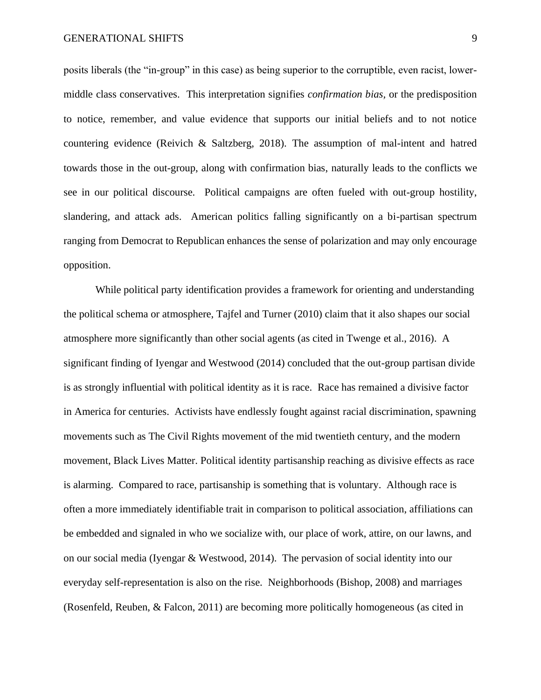posits liberals (the "in-group" in this case) as being superior to the corruptible, even racist, lowermiddle class conservatives. This interpretation signifies *confirmation bias,* or the predisposition to notice, remember, and value evidence that supports our initial beliefs and to not notice countering evidence (Reivich & Saltzberg, 2018). The assumption of mal-intent and hatred towards those in the out-group, along with confirmation bias, naturally leads to the conflicts we see in our political discourse. Political campaigns are often fueled with out-group hostility, slandering, and attack ads. American politics falling significantly on a bi-partisan spectrum ranging from Democrat to Republican enhances the sense of polarization and may only encourage opposition.

While political party identification provides a framework for orienting and understanding the political schema or atmosphere, Tajfel and Turner (2010) claim that it also shapes our social atmosphere more significantly than other social agents (as cited in Twenge et al., 2016). A significant finding of Iyengar and Westwood (2014) concluded that the out-group partisan divide is as strongly influential with political identity as it is race. Race has remained a divisive factor in America for centuries. Activists have endlessly fought against racial discrimination, spawning movements such as The Civil Rights movement of the mid twentieth century, and the modern movement, Black Lives Matter. Political identity partisanship reaching as divisive effects as race is alarming. Compared to race, partisanship is something that is voluntary. Although race is often a more immediately identifiable trait in comparison to political association, affiliations can be embedded and signaled in who we socialize with, our place of work, attire, on our lawns, and on our social media (Iyengar & Westwood, 2014). The pervasion of social identity into our everyday self-representation is also on the rise. Neighborhoods (Bishop, 2008) and marriages (Rosenfeld, Reuben, & Falcon, 2011) are becoming more politically homogeneous (as cited in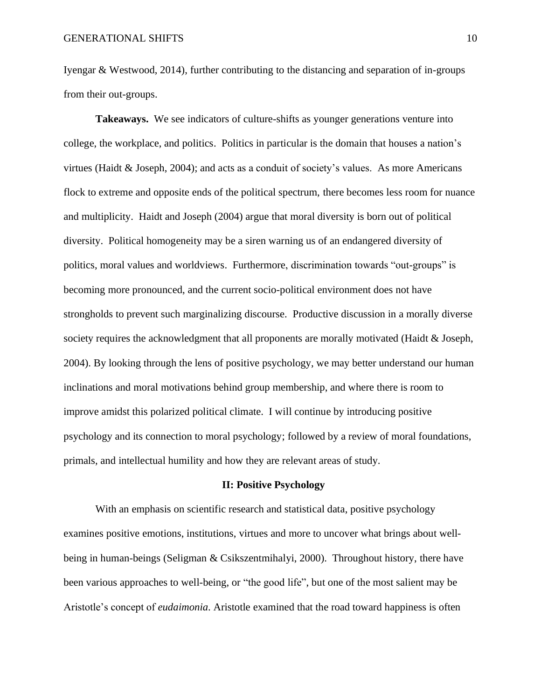Iyengar & Westwood, 2014), further contributing to the distancing and separation of in-groups from their out-groups.

**Takeaways.** We see indicators of culture-shifts as younger generations venture into college, the workplace, and politics.Politics in particular is the domain that houses a nation's virtues (Haidt & Joseph, 2004); and acts as a conduit of society's values. As more Americans flock to extreme and opposite ends of the political spectrum, there becomes less room for nuance and multiplicity. Haidt and Joseph (2004) argue that moral diversity is born out of political diversity. Political homogeneity may be a siren warning us of an endangered diversity of politics, moral values and worldviews. Furthermore, discrimination towards "out-groups" is becoming more pronounced, and the current socio-political environment does not have strongholds to prevent such marginalizing discourse. Productive discussion in a morally diverse society requires the acknowledgment that all proponents are morally motivated (Haidt & Joseph, 2004). By looking through the lens of positive psychology, we may better understand our human inclinations and moral motivations behind group membership, and where there is room to improve amidst this polarized political climate. I will continue by introducing positive psychology and its connection to moral psychology; followed by a review of moral foundations, primals, and intellectual humility and how they are relevant areas of study.

#### **II: Positive Psychology**

With an emphasis on scientific research and statistical data, positive psychology examines positive emotions, institutions, virtues and more to uncover what brings about wellbeing in human-beings (Seligman & Csikszentmihalyi, 2000). Throughout history, there have been various approaches to well-being, or "the good life", but one of the most salient may be Aristotle's concept of *eudaimonia*. Aristotle examined that the road toward happiness is often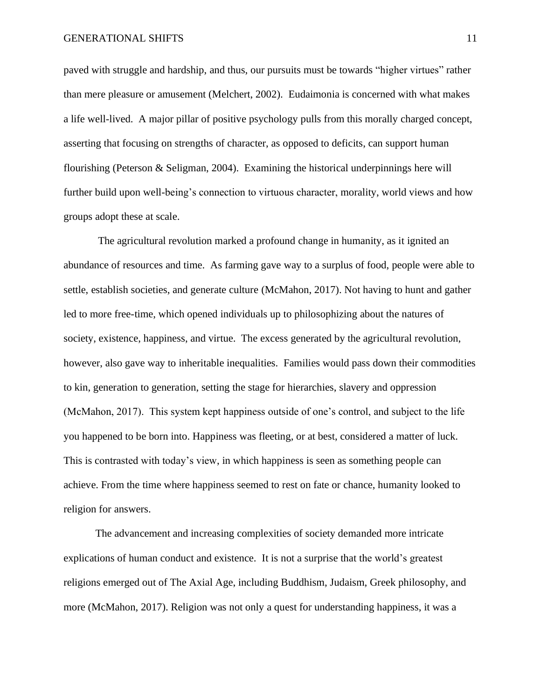paved with struggle and hardship, and thus, our pursuits must be towards "higher virtues" rather than mere pleasure or amusement (Melchert, 2002). Eudaimonia is concerned with what makes a life well-lived. A major pillar of positive psychology pulls from this morally charged concept, asserting that focusing on strengths of character, as opposed to deficits, can support human flourishing (Peterson & Seligman, 2004). Examining the historical underpinnings here will further build upon well-being's connection to virtuous character, morality, world views and how groups adopt these at scale.

The agricultural revolution marked a profound change in humanity, as it ignited an abundance of resources and time. As farming gave way to a surplus of food, people were able to settle, establish societies, and generate culture (McMahon, 2017). Not having to hunt and gather led to more free-time, which opened individuals up to philosophizing about the natures of society, existence, happiness, and virtue. The excess generated by the agricultural revolution, however, also gave way to inheritable inequalities. Families would pass down their commodities to kin, generation to generation, setting the stage for hierarchies, slavery and oppression (McMahon, 2017). This system kept happiness outside of one's control, and subject to the life you happened to be born into. Happiness was fleeting, or at best, considered a matter of luck. This is contrasted with today's view, in which happiness is seen as something people can achieve. From the time where happiness seemed to rest on fate or chance, humanity looked to religion for answers.

The advancement and increasing complexities of society demanded more intricate explications of human conduct and existence. It is not a surprise that the world's greatest religions emerged out of The Axial Age, including Buddhism, Judaism, Greek philosophy, and more (McMahon, 2017). Religion was not only a quest for understanding happiness, it was a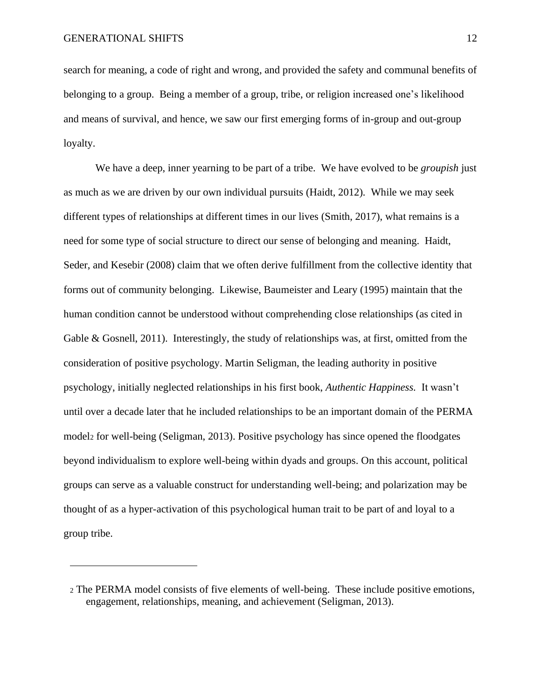search for meaning, a code of right and wrong, and provided the safety and communal benefits of belonging to a group. Being a member of a group, tribe, or religion increased one's likelihood and means of survival, and hence, we saw our first emerging forms of in-group and out-group loyalty.

We have a deep, inner yearning to be part of a tribe. We have evolved to be *groupish* just as much as we are driven by our own individual pursuits (Haidt, 2012)*.* While we may seek different types of relationships at different times in our lives (Smith, 2017), what remains is a need for some type of social structure to direct our sense of belonging and meaning. Haidt, Seder, and Kesebir (2008) claim that we often derive fulfillment from the collective identity that forms out of community belonging. Likewise, Baumeister and Leary (1995) maintain that the human condition cannot be understood without comprehending close relationships (as cited in Gable & Gosnell, 2011). Interestingly, the study of relationships was, at first, omitted from the consideration of positive psychology. Martin Seligman, the leading authority in positive psychology, initially neglected relationships in his first book, *Authentic Happiness.* It wasn't until over a decade later that he included relationships to be an important domain of the PERMA model<sup>2</sup> for well-being (Seligman, 2013). Positive psychology has since opened the floodgates beyond individualism to explore well-being within dyads and groups. On this account, political groups can serve as a valuable construct for understanding well-being; and polarization may be thought of as a hyper-activation of this psychological human trait to be part of and loyal to a group tribe.

<sup>2</sup> The PERMA model consists of five elements of well-being. These include positive emotions, engagement, relationships, meaning, and achievement (Seligman, 2013).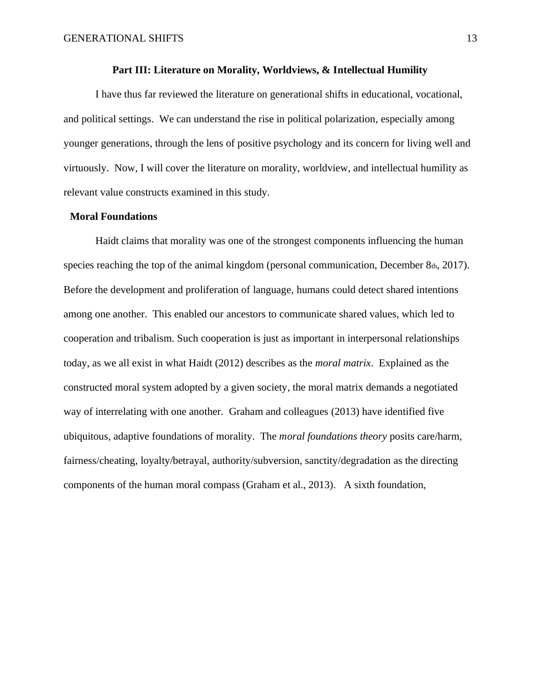#### **Part III: Literature on Morality, Worldviews, & Intellectual Humility**

I have thus far reviewed the literature on generational shifts in educational, vocational, and political settings. We can understand the rise in political polarization, especially among younger generations, through the lens of positive psychology and its concern for living well and virtuously. Now, I will cover the literature on morality, worldview, and intellectual humility as relevant value constructs examined in this study.

#### **Moral Foundations**

Haidt claims that morality was one of the strongest components influencing the human species reaching the top of the animal kingdom (personal communication, December 8th, 2017). Before the development and proliferation of language, humans could detect shared intentions among one another. This enabled our ancestors to communicate shared values, which led to cooperation and tribalism. Such cooperation is just as important in interpersonal relationships today, as we all exist in what Haidt (2012) describes as the *moral matrix*. Explained as the constructed moral system adopted by a given society, the moral matrix demands a negotiated way of interrelating with one another. Graham and colleagues (2013) have identified five ubiquitous, adaptive foundations of morality. The *moral foundations theory* posits care/harm, fairness/cheating, loyalty/betrayal, authority/subversion, sanctity/degradation as the directing components of the human moral compass (Graham et al., 2013). A sixth foundation,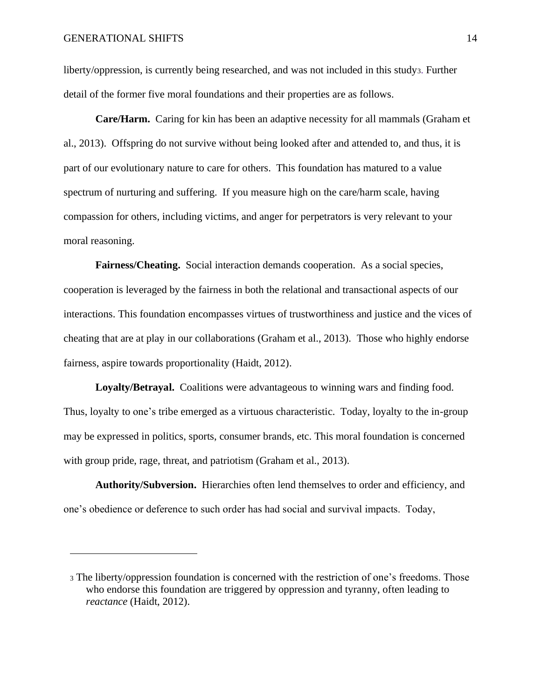#### GENERATIONAL SHIFTS 14

liberty/oppression, is currently being researched, and was not included in this study3. Further detail of the former five moral foundations and their properties are as follows.

**Care/Harm.** Caring for kin has been an adaptive necessity for all mammals (Graham et al., 2013). Offspring do not survive without being looked after and attended to, and thus, it is part of our evolutionary nature to care for others. This foundation has matured to a value spectrum of nurturing and suffering. If you measure high on the care/harm scale, having compassion for others, including victims, and anger for perpetrators is very relevant to your moral reasoning.

**Fairness/Cheating.** Social interaction demands cooperation. As a social species, cooperation is leveraged by the fairness in both the relational and transactional aspects of our interactions. This foundation encompasses virtues of trustworthiness and justice and the vices of cheating that are at play in our collaborations (Graham et al., 2013). Those who highly endorse fairness, aspire towards proportionality (Haidt, 2012).

**Loyalty/Betrayal.** Coalitions were advantageous to winning wars and finding food. Thus, loyalty to one's tribe emerged as a virtuous characteristic. Today, loyalty to the in-group may be expressed in politics, sports, consumer brands, etc. This moral foundation is concerned with group pride, rage, threat, and patriotism (Graham et al., 2013).

**Authority/Subversion.** Hierarchies often lend themselves to order and efficiency, and one's obedience or deference to such order has had social and survival impacts. Today,

<sup>3</sup> The liberty/oppression foundation is concerned with the restriction of one's freedoms. Those who endorse this foundation are triggered by oppression and tyranny, often leading to *reactance* (Haidt, 2012).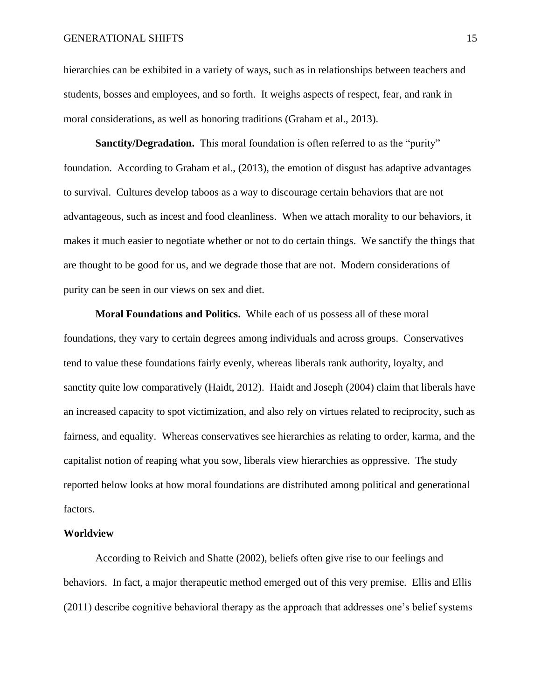#### GENERATIONAL SHIFTS 15

hierarchies can be exhibited in a variety of ways, such as in relationships between teachers and students, bosses and employees, and so forth. It weighs aspects of respect, fear, and rank in moral considerations, as well as honoring traditions (Graham et al., 2013).

**Sanctity/Degradation.** This moral foundation is often referred to as the "purity" foundation. According to Graham et al., (2013), the emotion of disgust has adaptive advantages to survival. Cultures develop taboos as a way to discourage certain behaviors that are not advantageous, such as incest and food cleanliness. When we attach morality to our behaviors, it makes it much easier to negotiate whether or not to do certain things. We sanctify the things that are thought to be good for us, and we degrade those that are not. Modern considerations of purity can be seen in our views on sex and diet.

**Moral Foundations and Politics.** While each of us possess all of these moral foundations, they vary to certain degrees among individuals and across groups. Conservatives tend to value these foundations fairly evenly, whereas liberals rank authority, loyalty, and sanctity quite low comparatively (Haidt, 2012). Haidt and Joseph (2004) claim that liberals have an increased capacity to spot victimization, and also rely on virtues related to reciprocity, such as fairness, and equality. Whereas conservatives see hierarchies as relating to order, karma, and the capitalist notion of reaping what you sow, liberals view hierarchies as oppressive. The study reported below looks at how moral foundations are distributed among political and generational factors.

#### **Worldview**

According to Reivich and Shatte (2002), beliefs often give rise to our feelings and behaviors. In fact, a major therapeutic method emerged out of this very premise. Ellis and Ellis (2011) describe cognitive behavioral therapy as the approach that addresses one's belief systems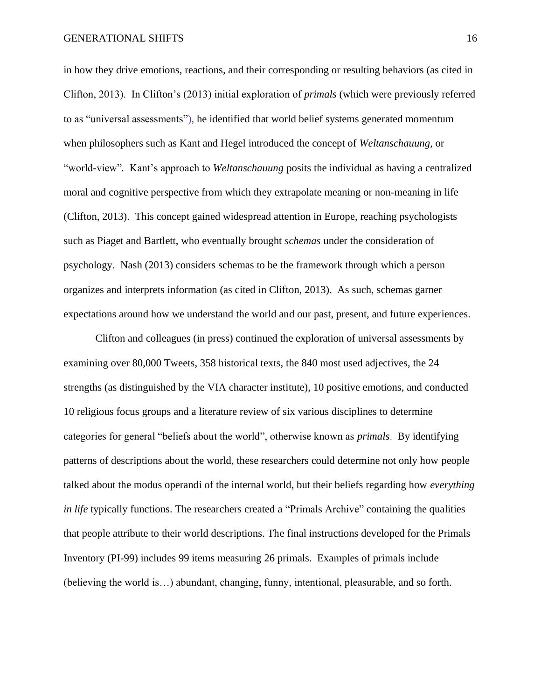in how they drive emotions, reactions, and their corresponding or resulting behaviors (as cited in Clifton, 2013). In Clifton's (2013) initial exploration of *primals* (which were previously referred to as "universal assessments"), he identified that world belief systems generated momentum when philosophers such as Kant and Hegel introduced the concept of *Weltanschauung,* or "world-view"*.* Kant's approach to *Weltanschauung* posits the individual as having a centralized moral and cognitive perspective from which they extrapolate meaning or non-meaning in life (Clifton, 2013). This concept gained widespread attention in Europe, reaching psychologists such as Piaget and Bartlett, who eventually brought *schemas* under the consideration of psychology. Nash (2013) considers schemas to be the framework through which a person organizes and interprets information (as cited in Clifton, 2013). As such, schemas garner expectations around how we understand the world and our past, present, and future experiences.

Clifton and colleagues (in press) continued the exploration of universal assessments by examining over 80,000 Tweets, 358 historical texts, the 840 most used adjectives, the 24 strengths (as distinguished by the VIA character institute), 10 positive emotions, and conducted 10 religious focus groups and a literature review of six various disciplines to determine categories for general "beliefs about the world", otherwise known as *primals*. By identifying patterns of descriptions about the world, these researchers could determine not only how people talked about the modus operandi of the internal world, but their beliefs regarding how *everything in life* typically functions. The researchers created a "Primals Archive" containing the qualities that people attribute to their world descriptions. The final instructions developed for the Primals Inventory (PI-99) includes 99 items measuring 26 primals. Examples of primals include (believing the world is…) abundant, changing, funny, intentional, pleasurable, and so forth.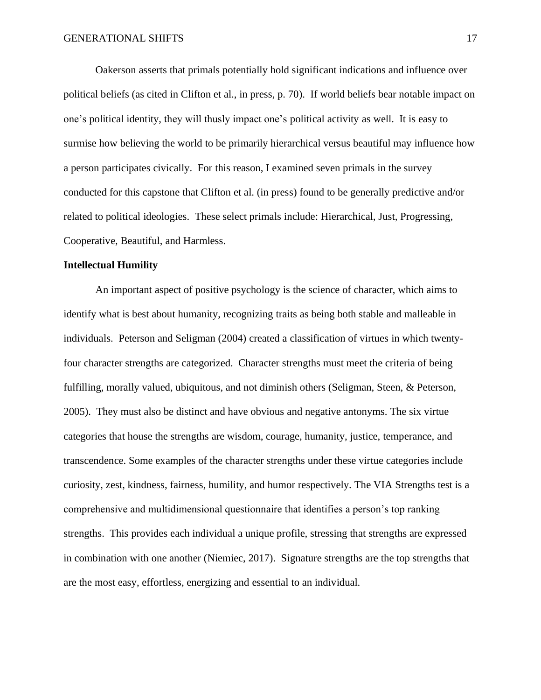Oakerson asserts that primals potentially hold significant indications and influence over political beliefs (as cited in Clifton et al., in press, p. 70). If world beliefs bear notable impact on one's political identity, they will thusly impact one's political activity as well. It is easy to surmise how believing the world to be primarily hierarchical versus beautiful may influence how a person participates civically. For this reason, I examined seven primals in the survey conducted for this capstone that Clifton et al. (in press) found to be generally predictive and/or related to political ideologies. These select primals include: Hierarchical, Just, Progressing, Cooperative, Beautiful, and Harmless.

#### **Intellectual Humility**

An important aspect of positive psychology is the science of character, which aims to identify what is best about humanity, recognizing traits as being both stable and malleable in individuals. Peterson and Seligman (2004) created a classification of virtues in which twentyfour character strengths are categorized. Character strengths must meet the criteria of being fulfilling, morally valued, ubiquitous, and not diminish others (Seligman, Steen, & Peterson, 2005). They must also be distinct and have obvious and negative antonyms. The six virtue categories that house the strengths are wisdom, courage, humanity, justice, temperance, and transcendence. Some examples of the character strengths under these virtue categories include curiosity, zest, kindness, fairness, humility, and humor respectively. The VIA Strengths test is a comprehensive and multidimensional questionnaire that identifies a person's top ranking strengths. This provides each individual a unique profile, stressing that strengths are expressed in combination with one another (Niemiec, 2017). Signature strengths are the top strengths that are the most easy, effortless, energizing and essential to an individual.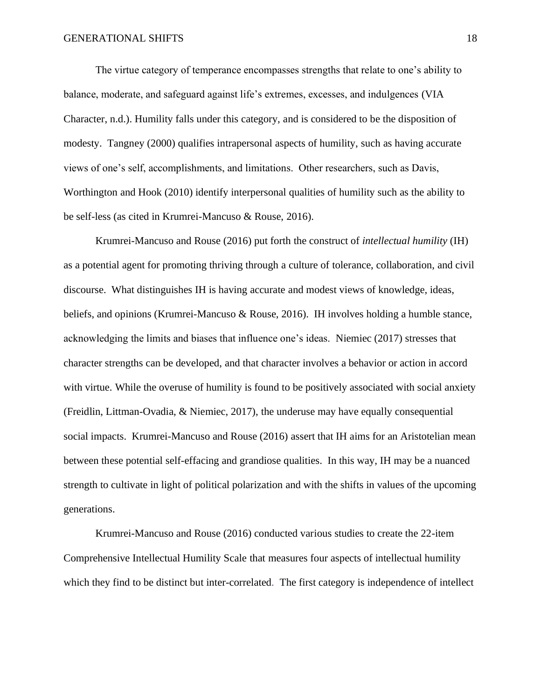The virtue category of temperance encompasses strengths that relate to one's ability to balance, moderate, and safeguard against life's extremes, excesses, and indulgences (VIA Character, n.d.). Humility falls under this category, and is considered to be the disposition of modesty. Tangney (2000) qualifies intrapersonal aspects of humility, such as having accurate views of one's self, accomplishments, and limitations. Other researchers, such as Davis, Worthington and Hook (2010) identify interpersonal qualities of humility such as the ability to be self-less (as cited in Krumrei-Mancuso & Rouse, 2016).

Krumrei-Mancuso and Rouse (2016) put forth the construct of *intellectual humility* (IH) as a potential agent for promoting thriving through a culture of tolerance, collaboration, and civil discourse. What distinguishes IH is having accurate and modest views of knowledge, ideas, beliefs, and opinions (Krumrei-Mancuso & Rouse, 2016). IH involves holding a humble stance, acknowledging the limits and biases that influence one's ideas. Niemiec (2017) stresses that character strengths can be developed, and that character involves a behavior or action in accord with virtue. While the overuse of humility is found to be positively associated with social anxiety (Freidlin, Littman-Ovadia, & Niemiec, 2017), the underuse may have equally consequential social impacts. Krumrei-Mancuso and Rouse (2016) assert that IH aims for an Aristotelian mean between these potential self-effacing and grandiose qualities. In this way, IH may be a nuanced strength to cultivate in light of political polarization and with the shifts in values of the upcoming generations.

Krumrei-Mancuso and Rouse (2016) conducted various studies to create the 22-item Comprehensive Intellectual Humility Scale that measures four aspects of intellectual humility which they find to be distinct but inter-correlated. The first category is independence of intellect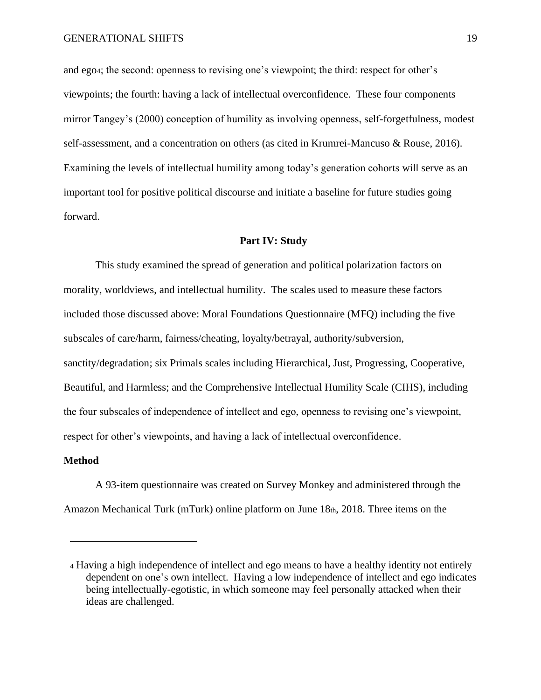and ego4; the second: openness to revising one's viewpoint; the third: respect for other's viewpoints; the fourth: having a lack of intellectual overconfidence. These four components mirror Tangey's (2000) conception of humility as involving openness, self-forgetfulness, modest self-assessment, and a concentration on others (as cited in Krumrei-Mancuso & Rouse, 2016). Examining the levels of intellectual humility among today's generation cohorts will serve as an important tool for positive political discourse and initiate a baseline for future studies going forward.

#### **Part IV: Study**

This study examined the spread of generation and political polarization factors on morality, worldviews, and intellectual humility. The scales used to measure these factors included those discussed above: Moral Foundations Questionnaire (MFQ) including the five subscales of care/harm, fairness/cheating, loyalty/betrayal, authority/subversion, sanctity/degradation; six Primals scales including Hierarchical, Just, Progressing, Cooperative, Beautiful, and Harmless; and the Comprehensive Intellectual Humility Scale (CIHS), including the four subscales of independence of intellect and ego, openness to revising one's viewpoint, respect for other's viewpoints, and having a lack of intellectual overconfidence.

#### **Method**

A 93-item questionnaire was created on Survey Monkey and administered through the Amazon Mechanical Turk (mTurk) online platform on June 18th, 2018. Three items on the

<sup>4</sup> Having a high independence of intellect and ego means to have a healthy identity not entirely dependent on one's own intellect. Having a low independence of intellect and ego indicates being intellectually-egotistic, in which someone may feel personally attacked when their ideas are challenged.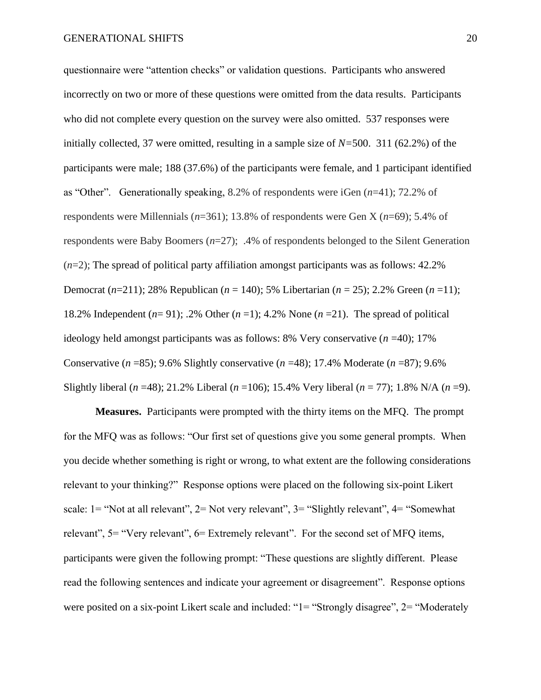questionnaire were "attention checks" or validation questions. Participants who answered incorrectly on two or more of these questions were omitted from the data results. Participants who did not complete every question on the survey were also omitted. 537 responses were initially collected, 37 were omitted, resulting in a sample size of *N=*500. 311 (62.2%) of the participants were male; 188 (37.6%) of the participants were female, and 1 participant identified as "Other". Generationally speaking, 8.2% of respondents were iGen (*n*=41); 72.2% of respondents were Millennials (*n*=361); 13.8% of respondents were Gen X (*n*=69); 5.4% of respondents were Baby Boomers (*n*=27); .4% of respondents belonged to the Silent Generation (*n*=2); The spread of political party affiliation amongst participants was as follows: 42.2% Democrat (*n*=211); 28% Republican (*n* = 140); 5% Libertarian (*n* = 25); 2.2% Green (*n* =11); 18.2% Independent (*n*= 91); .2% Other (*n* =1); 4.2% None (*n* =21). The spread of political ideology held amongst participants was as follows: 8% Very conservative (*n* =40); 17% Conservative (*n* =85); 9.6% Slightly conservative (*n* =48); 17.4% Moderate (*n* =87); 9.6% Slightly liberal (*n* =48); 21.2% Liberal (*n* =106); 15.4% Very liberal (*n* = 77); 1.8% N/A (*n* =9).

**Measures.** Participants were prompted with the thirty items on the MFQ. The prompt for the MFQ was as follows: "Our first set of questions give you some general prompts. When you decide whether something is right or wrong, to what extent are the following considerations relevant to your thinking?" Response options were placed on the following six-point Likert scale: 1= "Not at all relevant", 2= Not very relevant", 3= "Slightly relevant", 4= "Somewhat relevant", 5= "Very relevant", 6= Extremely relevant". For the second set of MFQ items, participants were given the following prompt: "These questions are slightly different. Please read the following sentences and indicate your agreement or disagreement". Response options were posited on a six-point Likert scale and included: "1= "Strongly disagree", 2= "Moderately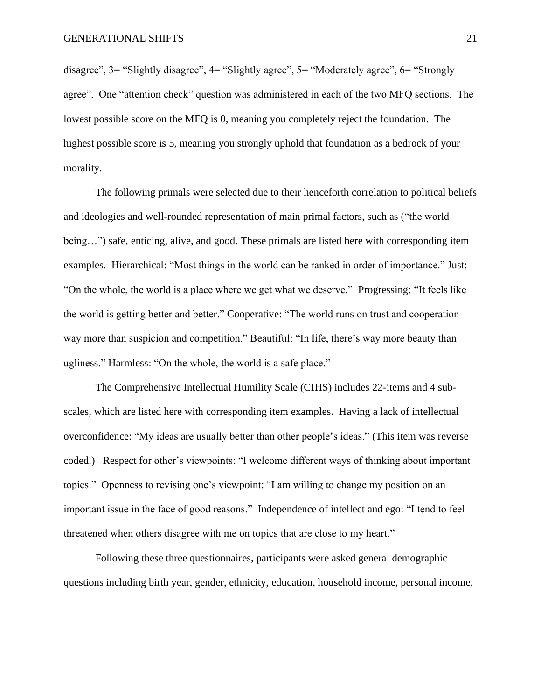disagree", 3= "Slightly disagree", 4= "Slightly agree", 5= "Moderately agree", 6= "Strongly agree". One "attention check" question was administered in each of the two MFQ sections. The lowest possible score on the MFQ is 0, meaning you completely reject the foundation. The highest possible score is 5, meaning you strongly uphold that foundation as a bedrock of your morality.

The following primals were selected due to their henceforth correlation to political beliefs and ideologies and well-rounded representation of main primal factors, such as ("the world being…") safe, enticing, alive, and good. These primals are listed here with corresponding item examples. Hierarchical: "Most things in the world can be ranked in order of importance." Just: "On the whole, the world is a place where we get what we deserve." Progressing: "It feels like the world is getting better and better." Cooperative: "The world runs on trust and cooperation way more than suspicion and competition." Beautiful: "In life, there's way more beauty than ugliness." Harmless: "On the whole, the world is a safe place."

The Comprehensive Intellectual Humility Scale (CIHS) includes 22-items and 4 subscales, which are listed here with corresponding item examples. Having a lack of intellectual overconfidence: "My ideas are usually better than other people's ideas." (This item was reverse coded.) Respect for other's viewpoints: "I welcome different ways of thinking about important topics." Openness to revising one's viewpoint: "I am willing to change my position on an important issue in the face of good reasons." Independence of intellect and ego: "I tend to feel threatened when others disagree with me on topics that are close to my heart."

Following these three questionnaires, participants were asked general demographic questions including birth year, gender, ethnicity, education, household income, personal income,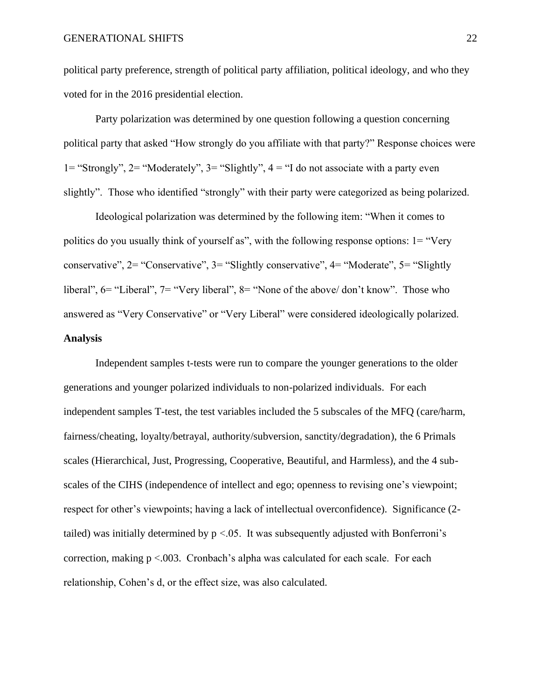political party preference, strength of political party affiliation, political ideology, and who they voted for in the 2016 presidential election.

Party polarization was determined by one question following a question concerning political party that asked "How strongly do you affiliate with that party?" Response choices were 1= "Strongly",  $2$ = "Moderately",  $3$ = "Slightly",  $4$  = "I do not associate with a party even slightly". Those who identified "strongly" with their party were categorized as being polarized.

Ideological polarization was determined by the following item: "When it comes to politics do you usually think of yourself as", with the following response options: 1= "Very conservative", 2= "Conservative", 3= "Slightly conservative", 4= "Moderate", 5= "Slightly liberal", 6= "Liberal", 7= "Very liberal", 8= "None of the above/ don't know". Those who answered as "Very Conservative" or "Very Liberal" were considered ideologically polarized. **Analysis**

Independent samples t-tests were run to compare the younger generations to the older generations and younger polarized individuals to non-polarized individuals. For each independent samples T-test, the test variables included the 5 subscales of the MFQ (care/harm, fairness/cheating, loyalty/betrayal, authority/subversion, sanctity/degradation), the 6 Primals scales (Hierarchical, Just, Progressing, Cooperative, Beautiful, and Harmless), and the 4 subscales of the CIHS (independence of intellect and ego; openness to revising one's viewpoint; respect for other's viewpoints; having a lack of intellectual overconfidence). Significance (2 tailed) was initially determined by  $p < 0.05$ . It was subsequently adjusted with Bonferroni's correction, making  $p < 0.003$ . Cronbach's alpha was calculated for each scale. For each relationship, Cohen's d, or the effect size, was also calculated.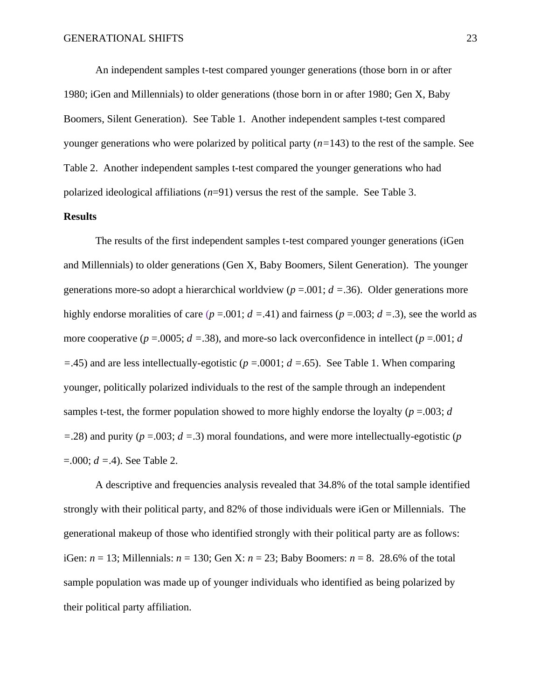An independent samples t-test compared younger generations (those born in or after 1980; iGen and Millennials) to older generations (those born in or after 1980; Gen X, Baby Boomers, Silent Generation). See Table 1. Another independent samples t-test compared younger generations who were polarized by political party (*n=*143) to the rest of the sample. See Table 2. Another independent samples t-test compared the younger generations who had polarized ideological affiliations (*n*=91) versus the rest of the sample. See Table 3.

#### **Results**

The results of the first independent samples t-test compared younger generations (iGen and Millennials) to older generations (Gen X, Baby Boomers, Silent Generation). The younger generations more-so adopt a hierarchical worldview ( $p = 0.001$ ;  $d = 0.36$ ). Older generations more highly endorse moralities of care  $(p = .001; d = .41)$  and fairness  $(p = .003; d = .3)$ , see the world as more cooperative ( $p = .0005$ ;  $d = .38$ ), and more-so lack overconfidence in intellect ( $p = .001$ ;  $d$ *=*.45) and are less intellectually-egotistic (*p* =.0001; *d =*.65). See Table 1. When comparing younger, politically polarized individuals to the rest of the sample through an independent samples t-test, the former population showed to more highly endorse the loyalty  $(p = .003; d)$ *=*.28) and purity (*p* =.003; *d =*.3) moral foundations, and were more intellectually-egotistic (*p* =.000; *d =*.4). See Table 2.

A descriptive and frequencies analysis revealed that 34.8% of the total sample identified strongly with their political party, and 82% of those individuals were iGen or Millennials. The generational makeup of those who identified strongly with their political party are as follows: iGen: *n* = 13; Millennials: *n* = 130; Gen X: *n* = 23; Baby Boomers: *n* = 8. 28.6% of the total sample population was made up of younger individuals who identified as being polarized by their political party affiliation.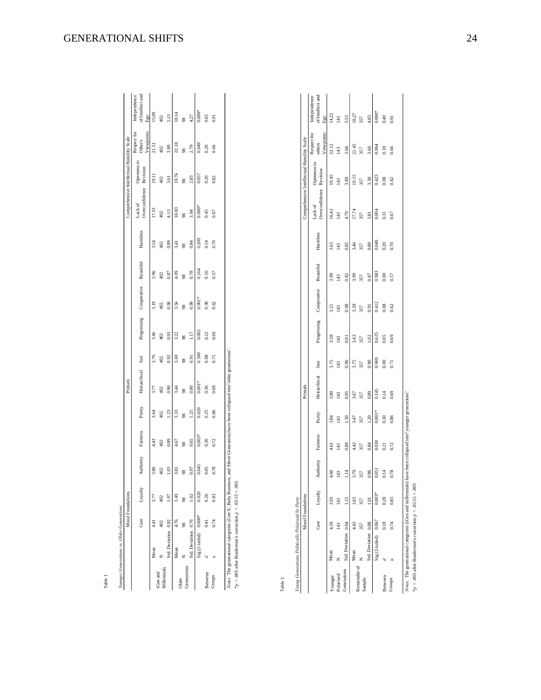| í<br>ì<br>į<br>ı<br>١ |  |
|-----------------------|--|
|                       |  |
| ٠<br>S<br>š           |  |
| i<br>î<br>I           |  |
|                       |  |

Moral Foundations

Primals

Table 1

|                         |                       | Moral Foundations |                |           |                |        | Primals        |                |             |             |           |                |                           | omprehensive Intellectual Humility Scale |                                      |                                         |
|-------------------------|-----------------------|-------------------|----------------|-----------|----------------|--------|----------------|----------------|-------------|-------------|-----------|----------------|---------------------------|------------------------------------------|--------------------------------------|-----------------------------------------|
|                         |                       | Care              | Loyalty        | Authority | Fairness       | Purity | Hierarchical   | Just           | Progressing | Cooperative | Beautiful | Hamless        | Overconfidence<br>Lack of | Openness to<br>Revision                  | Viewpoints<br>Respect for<br>Other's | of Intellect and<br>Independence<br>Ego |
|                         | Mean                  | 4.41              |                | 3.86      | 4.43           | 3.64   | 3.77           | 3.76           | 3.46        | 3.19        | 3.96      | 3.54           | 17.01                     | 19.11                                    | 21.51                                | 15.09                                   |
| iGen and<br>Villennials |                       | 402               |                | 402       | 402            | 402    | 402            | 402            | 402         | 402         | 402       | 402            | 402                       | 402                                      | 402                                  | 402                                     |
|                         | Std. Deviation 0.92   |                   | 1.07           | 1.03      | 0.89           | 1.23   | 0.90           | 0.92           | 0.93        | 0.90        | 0.87      | 0.89           | 4.13                      | 3.61                                     | 3.80                                 | 5.13                                    |
|                         | Mean                  | 4.76              | 3.49           | 3.81      | 4.67           | 3.33   | 3.44           | 3.69           | 3.22        | 3.56        | 4.09      | 3.41           | 18.83                     | 19.76                                    | 22.18                                | 18.14                                   |
| Generations<br>)lder    |                       | 98                |                | 98        | $\frac{8}{26}$ | 98     | $\frac{8}{26}$ | $\frac{8}{20}$ | 98          | 98          | 98        | $\frac{8}{20}$ | 98                        | $\frac{8}{26}$                           | 98                                   | $\frac{8}{26}$                          |
|                         | std. Deviation 0.76   |                   | $\frac{02}{2}$ | 0.97      | 0.65           | 1.25   | 0.90           | 0.91           | 1.17        | 0.99        | 0.78      | 0.84           | 3.94                      | 2.83                                     | 2.79                                 | 4.27                                    |
|                         | Sig (2-tailed) 0.000* |                   | 0.020          | 0.645     | $0.003*$       | 0.020  | $0.001*$       | 0.500          | 0.065       | $0.001*$    | 0.164     | 0.209          | $0.000*$                  | 0.057                                    | $6+0.0$                              | $0.000*$                                |
| Between                 |                       | 0.41              | 0.26           | 0.05      | 0.30           | 0.25   | 0.36           | 0.08           | 0.22        | 0.38        | 0.16      | 0.14           | 0.45                      | 0.20                                     | 0.20                                 | 0.65                                    |
| Groups                  |                       | 0.74              | 0.83           | 0.78      | 0.72           | 0.86   | 0.69           | 0.71           | 0.69        | 0.62        | 0.57      | 0.70           | 0.67                      | 0.82                                     | 0.66                                 | 0.91                                    |
|                         |                       |                   |                |           |                |        |                |                |             |             |           |                |                           |                                          |                                      |                                         |

Notes. The generational categories (Gen X, Baby Boomers, and Silent Generation) have been collapsed into "older generations".<br>\*p < .003 after Bonferroni's correction  $p \le 0.9515 = .003$ *Notes.* The generational categories (Gen X, Baby Boomers, and Silent Generation) have been collapsed into"older generations".

\**p* < .003 after Bonferroni's correction *p* < .05/15 = .003

Table 2

| į<br>I        |  |
|---------------|--|
| $\frac{1}{2}$ |  |
| ï<br>ú        |  |
|               |  |
| Ξ             |  |
| l             |  |

|                       |                      | Moral Foundations |          |                 |          |          | Primals      |       |             |             |           |          | Comprehensive Intellectual Humility Scale |                         |                                     |                                         |
|-----------------------|----------------------|-------------------|----------|-----------------|----------|----------|--------------|-------|-------------|-------------|-----------|----------|-------------------------------------------|-------------------------|-------------------------------------|-----------------------------------------|
|                       |                      | Care              | Lovalty  | Authority       | Fairness | Purity   | Heirarchical | Just  | Progressing | Cooperative | Beautiful | Hamiless | Overconfidence<br>Lack of                 | Openness to<br>Revision | Viewpoints<br>Respect for<br>others | of Intellect and<br>Independence<br>Ego |
| ounger                | Mean                 |                   | 3.93     | 4,00            | 4,61     | 3.84     | 3.80         | 3.75  | 3.38        | 3.21        | 3.99      | 3.63     | 16.42                                     | 19.45                   | 22.12                               | 14.22                                   |
| olarized              |                      | $\frac{43}{5}$    |          | 143             | 143      | 143      | 143          | 143   | 143         | 143         | 143       | 143      | 143                                       | 143                     | 143                                 | 143                                     |
| enerations            | Std. Deviation 0.94  |                   | 1.15     | $\frac{4}{114}$ | 0.89     | 1.30     | 0.95         | 0.96  | 0.91        | 0.98        | 0.82      | 0.85     | 4.79                                      | 3.89                    | 3.66                                | 5.53                                    |
|                       | Mean                 | 443               | 3.63     | 3.79            | 4.42     | 3.47     | 3.67         | 3.75  | 3.43        | 3.29        | 3.99      | 3.46     | 17.74                                     | 19.15                   | 21.45                               | 16.27                                   |
| emainder of<br>Sample |                      | 357               | 357      | 357             | 357      | 357      | 357          | 357   | 357         | 357         | 357       | 357      | 357                                       | 357                     | 357                                 | 357                                     |
|                       | Std. Deviation 0.88  |                   |          | 0.96            | 0.84     | 1.20     | 0.89         | 0.90  | 1.02        | 0.91        | 0.87      | 0.89     | 3.81                                      | 3.30                    | 3.60                                | 4.83                                    |
|                       | Sig (2-tailed) 0.067 |                   | $0.003*$ | 0.051           | 0.030    | $0.003*$ | 0.145        | 0.969 | 0.625       | 0.412       | 0.983     | 0.049    | 0.004                                     | 0.423                   | 0.064                               | $0.000*$                                |
| Between               |                      | 0.18              | 0.28     | 0.14            | 0.21     | 0.30     | 0.14         | 0.00  | 0.05        | 0.08        | 0.00      | 0.20     | 0.31                                      | 0.08                    | 0.18                                | 0.40                                    |
| <b>Schout</b>         |                      | 0.74              | 0.83     | 0.78            | 0.72     | 0.86     | 0.69         | 0.71  | 0.69        | 0.62        | 0.57      | 0.70     | 0.67                                      | 0.82                    | 0.66                                | 0.91                                    |
|                       |                      |                   |          |                 |          |          |              |       |             |             |           |          |                                           |                         |                                     |                                         |
|                       |                      |                   | Ì        |                 |          |          |              |       |             |             |           |          |                                           |                         |                                     |                                         |

*Notes.* The generational categories (Gera and millennials) have been collapsed into "younger generations".<br>\*p < .003 after Bonferroni's correction  $p$  < .05/15 = .003 *Notes.* The generational categories (iGen and millennials) have been collapsed into"younger generations".

\**p* < .003 after Bonferroni's correction *p* < .05/15 = .003

Comprehensive Intellectual Humility Scale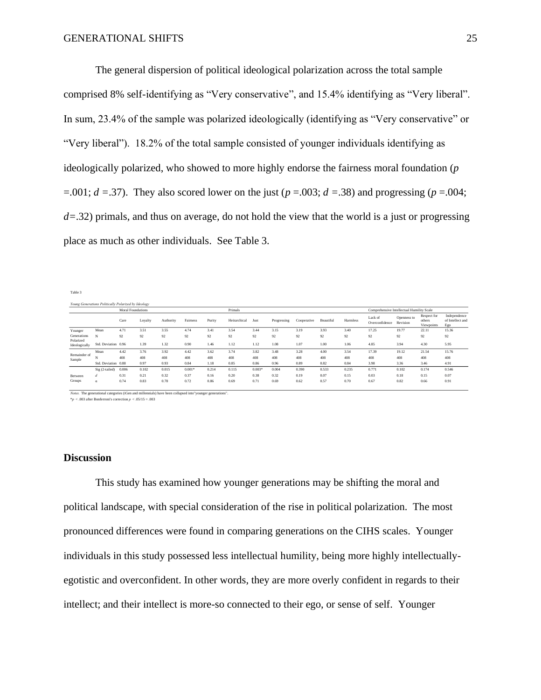The general dispersion of political ideological polarization across the total sample comprised 8% self-identifying as "Very conservative", and 15.4% identifying as "Very liberal". In sum, 23.4% of the sample was polarized ideologically (identifying as "Very conservative" or "Very liberal"). 18.2% of the total sample consisted of younger individuals identifying as ideologically polarized, who showed to more highly endorse the fairness moral foundation (*p* =.001;  $d = .37$ ). They also scored lower on the just ( $p = .003$ ;  $d = .38$ ) and progressing ( $p = .004$ ; *d=*.32) primals, and thus on average, do not hold the view that the world is a just or progressing place as much as other individuals. See Table 3.

Table 3

|                          | Young Generations Politically Polarized by Ideology |                          |         |           |          |        |              |          |             |             |           |          |                                           |                         |                                     |                                         |
|--------------------------|-----------------------------------------------------|--------------------------|---------|-----------|----------|--------|--------------|----------|-------------|-------------|-----------|----------|-------------------------------------------|-------------------------|-------------------------------------|-----------------------------------------|
|                          |                                                     | <b>Moral Foundations</b> |         |           |          |        | Primals      |          |             |             |           |          | Comprehensive Intellectual Humility Scale |                         |                                     |                                         |
|                          |                                                     | Care                     | Loyalty | Authority | Fairness | Purity | Heirarchical | Just     | Progressing | Cooperative | Beautiful | Harmless | Lack of<br>Overconfidence                 | Openness to<br>Revision | Respect for<br>others<br>Viewpoints | Independence<br>of Intellect and<br>Ego |
| Younger                  | Mean                                                | 4.71                     | 3.51    | 3.55      | 4.74     | 3.41   | 3.54         | 3.44     | 3.15        | 3.19        | 3.93      | 3.40     | 17.25                                     | 19.77                   | 22.11                               | 15.36                                   |
| Generations<br>Polarized | N                                                   | 92                       | 92      | 92        | 92       | 92     | 92           | 92       | 92          | 92          | 92        | 92       | 92                                        | 92                      | 92                                  | 92                                      |
| Ideologically            | Std. Deviation 0.96                                 |                          | 1.39    | 1.32      | 0.90     | 1.46   | 1.12         | 1.12     | 1.08        | 1.07        | 1.00      | 1.06     | 4.85                                      | 3.94                    | 4.30                                | 5.95                                    |
| Remainder of<br>Sample   | Mean                                                | 4.42                     | 3.76    | 3.92      | 4.42     | 3.62   | 3.74         | 3.82     | 3.48        | 3.28        | 4.00      | 3.54     | 17.39                                     | 19.12                   | 21.54                               | 15.76                                   |
|                          |                                                     | 408                      | 408     | 408       | 408      | 408    | 408          | 408      | 408         | 408         | 408       | 408      | 408                                       | 408                     | 408                                 | 408                                     |
|                          | Std. Deviation 0.88                                 |                          | 0.97    | 0.93      | 0.84     | 1.18   | 0.85         | 0.86     | 0.96        | 0.89        | 0.82      | 0.84     | 3.98                                      | 3.36                    | 3.46                                | 4.91                                    |
|                          | Sig (2-tailed)                                      | 0.006                    | 0.102   | 0.015     | $0.001*$ | 0.214  | 0.115        | $0.003*$ | 0.004       | 0.390       | 0.533     | 0.235    | 0.771                                     | 0.102                   | 0.174                               | 0.546                                   |
| Between                  |                                                     | 0.31                     | 0.21    | 0.32      | 0.37     | 0.16   | 0.20         | 0.38     | 0.32        | 0.19        | 0.07      | 0.15     | 0.03                                      | 0.18                    | 0.15                                | 0.07                                    |
| Groups                   | $\sigma$                                            | 0.74                     | 0.83    | 0.78      | 0.72     | 0.86   | 0.69         | 0.71     | 0.69        | 0.62        | 0.57      | 0.70     | 0.67                                      | 0.82                    | 0.66                                | 0.91                                    |

*Notes.* The generational categories (iGen and millennials) have been collapsed into"younger generations".

\**p* < .003 after Bonferroni's correction *p* < .05/15 = .003

#### **Discussion**

This study has examined how younger generations may be shifting the moral and political landscape, with special consideration of the rise in political polarization. The most pronounced differences were found in comparing generations on the CIHS scales. Younger individuals in this study possessed less intellectual humility, being more highly intellectuallyegotistic and overconfident. In other words, they are more overly confident in regards to their intellect; and their intellect is more-so connected to their ego, or sense of self. Younger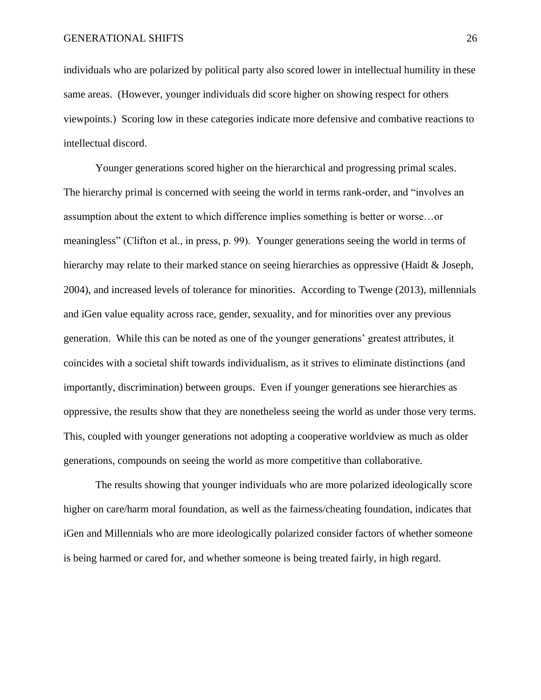individuals who are polarized by political party also scored lower in intellectual humility in these same areas. (However, younger individuals did score higher on showing respect for others viewpoints.) Scoring low in these categories indicate more defensive and combative reactions to intellectual discord.

Younger generations scored higher on the hierarchical and progressing primal scales. The hierarchy primal is concerned with seeing the world in terms rank-order, and "involves an assumption about the extent to which difference implies something is better or worse…or meaningless" (Clifton et al., in press, p. 99). Younger generations seeing the world in terms of hierarchy may relate to their marked stance on seeing hierarchies as oppressive (Haidt & Joseph, 2004), and increased levels of tolerance for minorities. According to Twenge (2013), millennials and iGen value equality across race, gender, sexuality, and for minorities over any previous generation. While this can be noted as one of the younger generations' greatest attributes, it coincides with a societal shift towards individualism, as it strives to eliminate distinctions (and importantly, discrimination) between groups. Even if younger generations see hierarchies as oppressive, the results show that they are nonetheless seeing the world as under those very terms. This, coupled with younger generations not adopting a cooperative worldview as much as older generations, compounds on seeing the world as more competitive than collaborative.

The results showing that younger individuals who are more polarized ideologically score higher on care/harm moral foundation, as well as the fairness/cheating foundation, indicates that iGen and Millennials who are more ideologically polarized consider factors of whether someone is being harmed or cared for, and whether someone is being treated fairly, in high regard.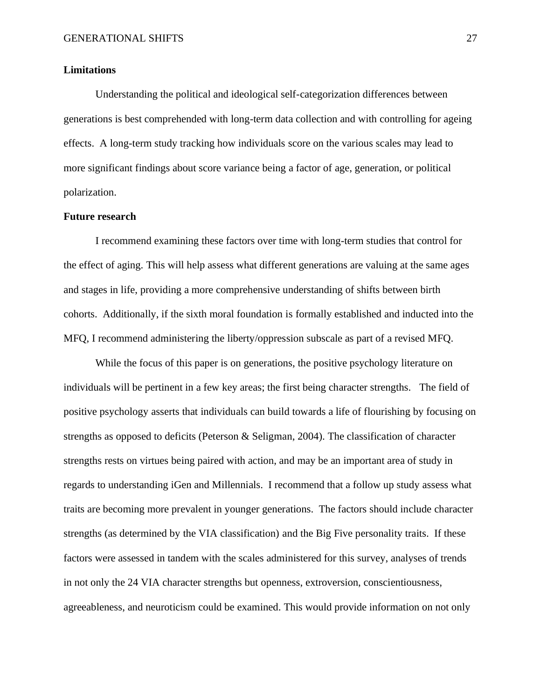#### **Limitations**

Understanding the political and ideological self-categorization differences between generations is best comprehended with long-term data collection and with controlling for ageing effects. A long-term study tracking how individuals score on the various scales may lead to more significant findings about score variance being a factor of age, generation, or political polarization.

#### **Future research**

I recommend examining these factors over time with long-term studies that control for the effect of aging. This will help assess what different generations are valuing at the same ages and stages in life, providing a more comprehensive understanding of shifts between birth cohorts. Additionally, if the sixth moral foundation is formally established and inducted into the MFQ, I recommend administering the liberty/oppression subscale as part of a revised MFQ.

While the focus of this paper is on generations, the positive psychology literature on individuals will be pertinent in a few key areas; the first being character strengths. The field of positive psychology asserts that individuals can build towards a life of flourishing by focusing on strengths as opposed to deficits (Peterson & Seligman, 2004). The classification of character strengths rests on virtues being paired with action, and may be an important area of study in regards to understanding iGen and Millennials. I recommend that a follow up study assess what traits are becoming more prevalent in younger generations. The factors should include character strengths (as determined by the VIA classification) and the Big Five personality traits. If these factors were assessed in tandem with the scales administered for this survey, analyses of trends in not only the 24 VIA character strengths but openness, extroversion, conscientiousness, agreeableness, and neuroticism could be examined. This would provide information on not only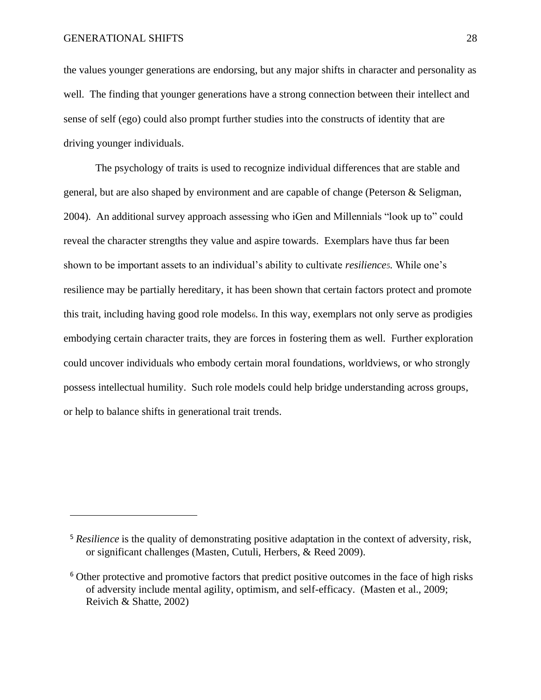the values younger generations are endorsing, but any major shifts in character and personality as well. The finding that younger generations have a strong connection between their intellect and sense of self (ego) could also prompt further studies into the constructs of identity that are driving younger individuals.

The psychology of traits is used to recognize individual differences that are stable and general, but are also shaped by environment and are capable of change (Peterson & Seligman, 2004). An additional survey approach assessing who iGen and Millennials "look up to" could reveal the character strengths they value and aspire towards. Exemplars have thus far been shown to be important assets to an individual's ability to cultivate *resilience5.* While one's resilience may be partially hereditary, it has been shown that certain factors protect and promote this trait, including having good role models6. In this way, exemplars not only serve as prodigies embodying certain character traits, they are forces in fostering them as well. Further exploration could uncover individuals who embody certain moral foundations, worldviews, or who strongly possess intellectual humility. Such role models could help bridge understanding across groups, or help to balance shifts in generational trait trends.

<sup>&</sup>lt;sup>5</sup> *Resilience* is the quality of demonstrating positive adaptation in the context of adversity, risk, or significant challenges (Masten, Cutuli, Herbers, & Reed 2009).

<sup>6</sup> Other protective and promotive factors that predict positive outcomes in the face of high risks of adversity include mental agility, optimism, and self-efficacy. (Masten et al., 2009; Reivich & Shatte, 2002)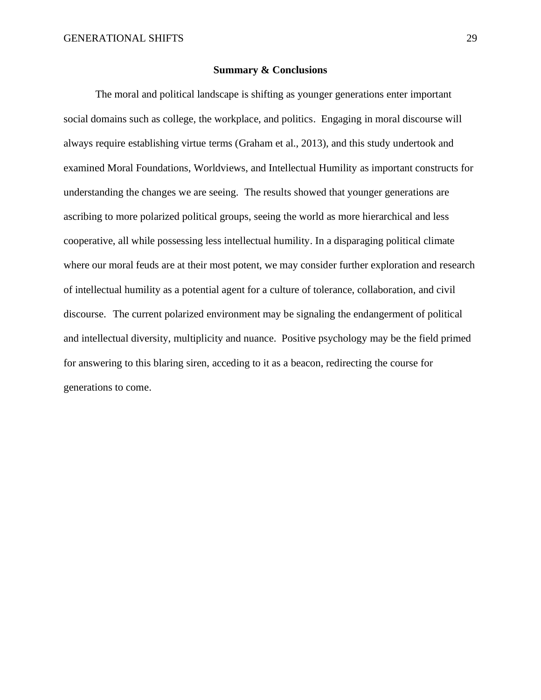#### **Summary & Conclusions**

The moral and political landscape is shifting as younger generations enter important social domains such as college, the workplace, and politics. Engaging in moral discourse will always require establishing virtue terms (Graham et al., 2013), and this study undertook and examined Moral Foundations, Worldviews, and Intellectual Humility as important constructs for understanding the changes we are seeing. The results showed that younger generations are ascribing to more polarized political groups, seeing the world as more hierarchical and less cooperative, all while possessing less intellectual humility. In a disparaging political climate where our moral feuds are at their most potent, we may consider further exploration and research of intellectual humility as a potential agent for a culture of tolerance, collaboration, and civil discourse. The current polarized environment may be signaling the endangerment of political and intellectual diversity, multiplicity and nuance. Positive psychology may be the field primed for answering to this blaring siren, acceding to it as a beacon, redirecting the course for generations to come.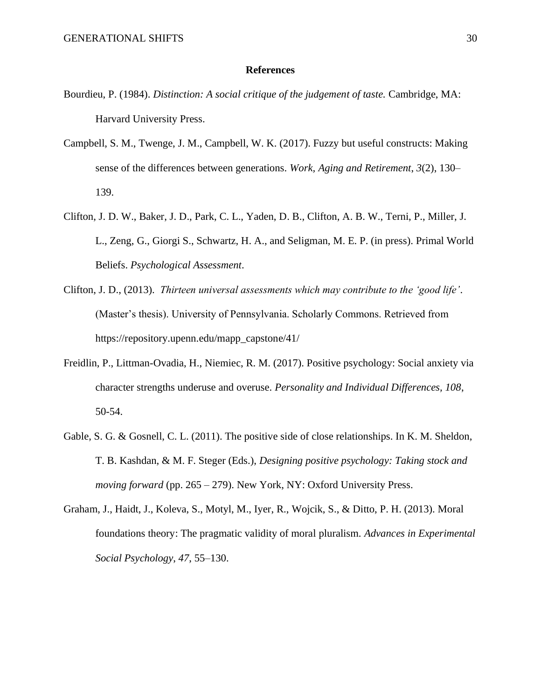#### **References**

- Bourdieu, P. (1984). *Distinction: A social critique of the judgement of taste.* Cambridge, MA: Harvard University Press.
- Campbell, S. M., Twenge, J. M., Campbell, W. K. (2017). Fuzzy but useful constructs: Making sense of the differences between generations. *Work, Aging and Retirement*, *3*(2), 130– 139.
- Clifton, J. D. W., Baker, J. D., Park, C. L., Yaden, D. B., Clifton, A. B. W., Terni, P., Miller, J. L., Zeng, G., Giorgi S., Schwartz, H. A., and Seligman, M. E. P. (in press). Primal World Beliefs. *Psychological Assessment*.
- Clifton, J. D., (2013). *Thirteen universal assessments which may contribute to the 'good life'*. (Master's thesis). University of Pennsylvania. Scholarly Commons. Retrieved from https://repository.upenn.edu/mapp\_capstone/41/
- Freidlin, P., Littman-Ovadia, H., Niemiec, R. M. (2017). Positive psychology: Social anxiety via character strengths underuse and overuse. *Personality and Individual Differences, 108*, 50-54.
- Gable, S. G. & Gosnell, C. L. (2011). The positive side of close relationships. In K. M. Sheldon, T. B. Kashdan, & M. F. Steger (Eds.), *Designing positive psychology: Taking stock and moving forward* (pp. 265 – 279). New York, NY: Oxford University Press.
- Graham, J., Haidt, J., Koleva, S., Motyl, M., Iyer, R., Wojcik, S., & Ditto, P. H. (2013). Moral foundations theory: The pragmatic validity of moral pluralism. *Advances in Experimental Social Psychology*, *47*, 55–130.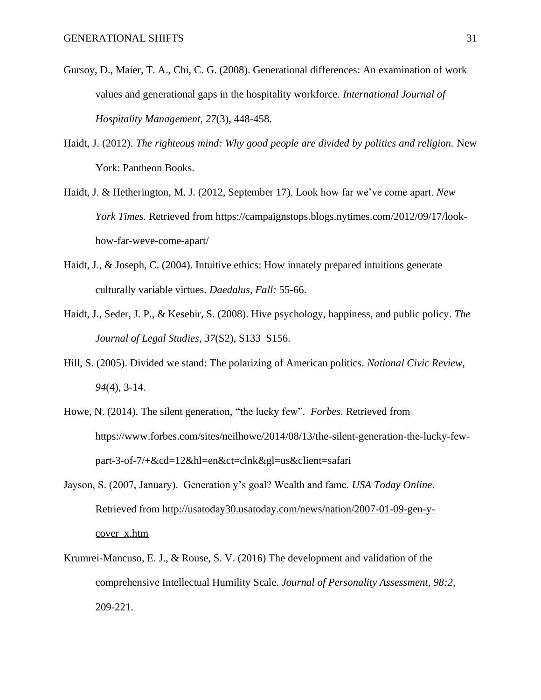- Gursoy, D., Maier, T. A., Chi, C. G. (2008). Generational differences: An examination of work values and generational gaps in the hospitality workforce. *International Journal of Hospitality Management, 27*(3), 448-458.
- Haidt, J. (2012). *The righteous mind: Why good people are divided by politics and religion.* New York: Pantheon Books.
- Haidt, J. & Hetherington, M. J. (2012, September 17). Look how far we've come apart. *New York Times.* Retrieved from https://campaignstops.blogs.nytimes.com/2012/09/17/lookhow-far-weve-come-apart/
- Haidt, J., & Joseph, C. (2004). Intuitive ethics: How innately prepared intuitions generate culturally variable virtues. *Daedalus, Fall:* 55-66.
- Haidt, J., Seder, J. P., & Kesebir, S. (2008). Hive psychology, happiness, and public policy. *The Journal of Legal Studies*, *37*(S2), S133–S156.
- Hill, S. (2005). Divided we stand: The polarizing of American politics. *National Civic Review, 94*(4), 3-14.
- Howe, N. (2014). The silent generation, "the lucky few". *Forbes.* Retrieved from https://www.forbes.com/sites/neilhowe/2014/08/13/the-silent-generation-the-lucky-fewpart-3-of-7/+&cd=12&hl=en&ct=clnk&gl=us&client=safari
- Jayson, S. (2007, January). Generation y's goal? Wealth and fame. *USA Today Online*. Retrieved from [http://usatoday30.usatoday.com/news/nation/2007-01-09-gen-y](http://usatoday30.usatoday.com/news/nation/2007-01-09-gen-y-cover_x.htm)[cover\\_x.htm](http://usatoday30.usatoday.com/news/nation/2007-01-09-gen-y-cover_x.htm)
- Krumrei-Mancuso, E. J., & Rouse, S. V. (2016) The development and validation of the comprehensive Intellectual Humility Scale. *Journal of Personality Assessment, 98:2*, 209-221.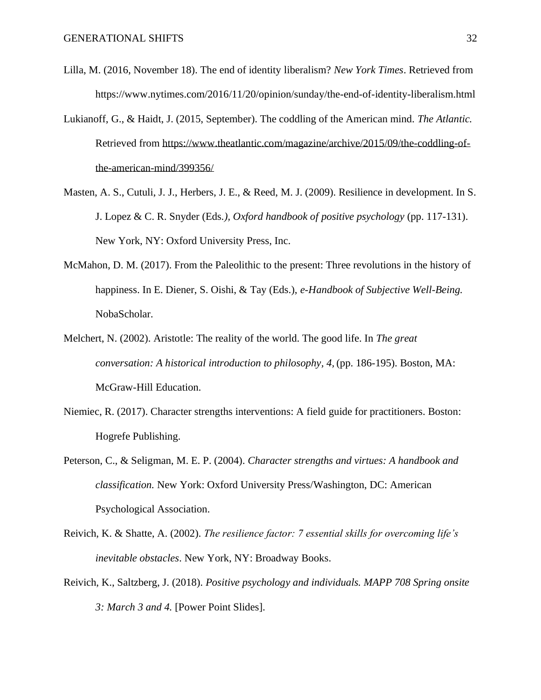- Lilla, M. (2016, November 18). The end of identity liberalism? *New York Times*. Retrieved from https://www.nytimes.com/2016/11/20/opinion/sunday/the-end-of-identity-liberalism.html
- Lukianoff, G., & Haidt, J. (2015, September). The coddling of the American mind. *The Atlantic.* Retrieved from [https://www.theatlantic.com/magazine/archive/2015/09/the-coddling-of](https://www.theatlantic.com/magazine/archive/2015/09/the-coddling-of-the-american-mind/399356/)[the-american-mind/399356/](https://www.theatlantic.com/magazine/archive/2015/09/the-coddling-of-the-american-mind/399356/)
- Masten, A. S., Cutuli, J. J., Herbers, J. E., & Reed, M. J. (2009). Resilience in development. In S. J. Lopez & C. R. Snyder (Eds*.), Oxford handbook of positive psychology* (pp. 117-131). New York, NY: Oxford University Press, Inc.
- McMahon, D. M. (2017). From the Paleolithic to the present: Three revolutions in the history of happiness. In E. Diener, S. Oishi, & Tay (Eds.), *e-Handbook of Subjective Well-Being.*  NobaScholar.
- Melchert, N. (2002). Aristotle: The reality of the world. The good life. In *The great conversation: A historical introduction to philosophy, 4,* (pp. 186-195). Boston, MA: McGraw-Hill Education.
- Niemiec, R. (2017). Character strengths interventions: A field guide for practitioners. Boston: Hogrefe Publishing.
- Peterson, C., & Seligman, M. E. P. (2004). *Character strengths and virtues: A handbook and classification.* New York: Oxford University Press/Washington, DC: American Psychological Association.
- Reivich, K. & Shatte, A. (2002). *The resilience factor: 7 essential skills for overcoming life's inevitable obstacles*. New York, NY: Broadway Books.
- Reivich, K., Saltzberg, J. (2018). *Positive psychology and individuals. MAPP 708 Spring onsite 3: March 3 and 4.* [Power Point Slides].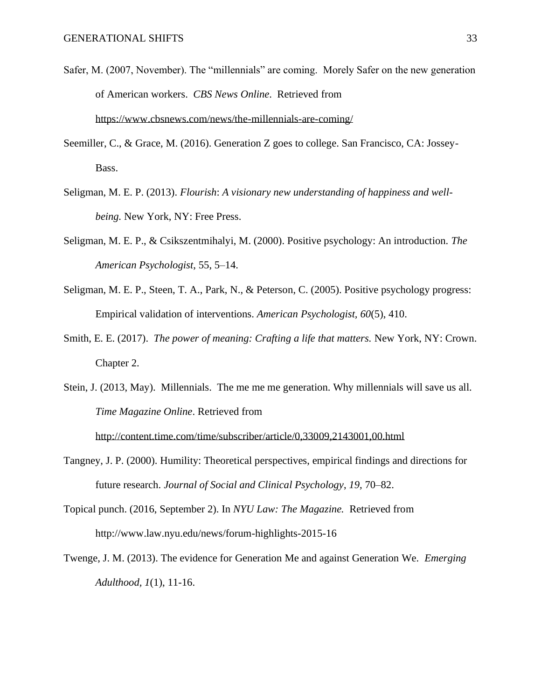- Safer, M. (2007, November). The "millennials" are coming. Morely Safer on the new generation of American workers. *CBS News Online*. Retrieved from <https://www.cbsnews.com/news/the-millennials-are-coming/>
- Seemiller, C., & Grace, M. (2016). Generation Z goes to college. San Francisco, CA: Jossey-Bass.
- Seligman, M. E. P. (2013). *Flourish*: *A visionary new understanding of happiness and wellbeing.* New York, NY: Free Press.
- Seligman, M. E. P., & Csikszentmihalyi, M. (2000). Positive psychology: An introduction. *The American Psychologist*, 55, 5–14.
- Seligman, M. E. P., Steen, T. A., Park, N., & Peterson, C. (2005). Positive psychology progress: Empirical validation of interventions. *American Psychologist, 60*(5), 410.
- Smith, E. E. (2017). *The power of meaning: Crafting a life that matters.* New York, NY: Crown. Chapter 2.
- Stein, J. (2013, May). Millennials. The me me me generation. Why millennials will save us all. *Time Magazine Online*. Retrieved from

<http://content.time.com/time/subscriber/article/0,33009,2143001,00.html>

- Tangney, J. P. (2000). Humility: Theoretical perspectives, empirical findings and directions for future research. *Journal of Social and Clinical Psychology*, *19,* 70–82.
- Topical punch. (2016, September 2). In *NYU Law: The Magazine.* Retrieved from http://www.law.nyu.edu/news/forum-highlights-2015-16
- Twenge, J. M. (2013). The evidence for Generation Me and against Generation We. *Emerging Adulthood, 1*(1), 11-16.